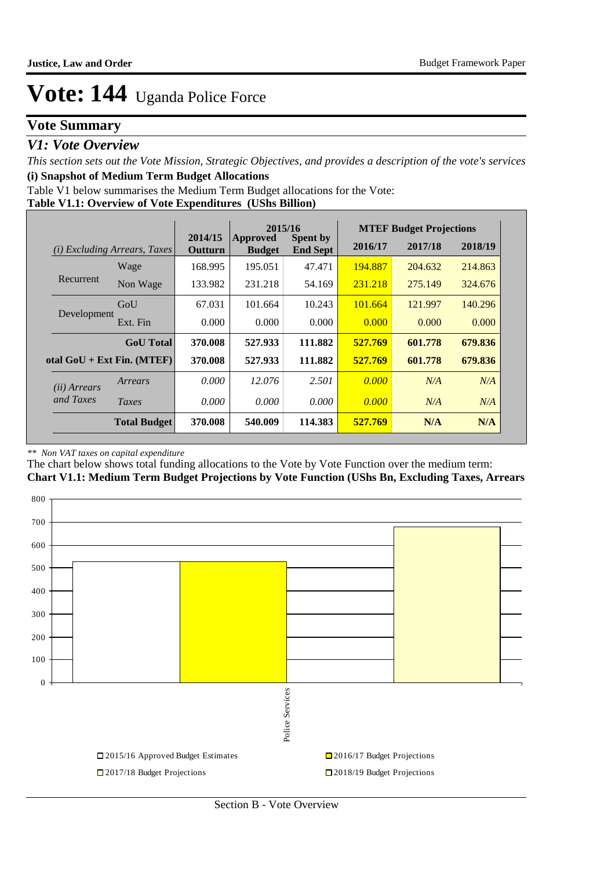### **Vote Summary**

### *V1: Vote Overview*

*This section sets out the Vote Mission, Strategic Objectives, and provides a description of the vote's services* **(i) Snapshot of Medium Term Budget Allocations** 

Table V1 below summarises the Medium Term Budget allocations for the Vote:

**Table V1.1: Overview of Vote Expenditures (UShs Billion)**

|                       |                                     | 2015/16<br>2014/15 |                                  | <b>MTEF Budget Projections</b>     |         |         |         |
|-----------------------|-------------------------------------|--------------------|----------------------------------|------------------------------------|---------|---------|---------|
|                       | <i>(i)</i> Excluding Arrears, Taxes | Outturn            | <b>Approved</b><br><b>Budget</b> | <b>Spent by</b><br><b>End Sept</b> | 2016/17 | 2017/18 | 2018/19 |
|                       | Wage                                | 168.995            | 195.051                          | 47.471                             | 194.887 | 204.632 | 214.863 |
| Recurrent             | Non Wage                            | 133.982            | 231.218                          | 54.169                             | 231.218 | 275.149 | 324,676 |
|                       | GoU                                 | 67.031             | 101.664                          | 10.243                             | 101.664 | 121.997 | 140.296 |
| Development           | Ext. Fin                            | 0.000              | 0.000                            | 0.000                              | 0.000   | 0.000   | 0.000   |
|                       | <b>GoU</b> Total                    | 370.008            | 527.933                          | 111.882                            | 527.769 | 601.778 | 679.836 |
|                       | otal $GoU + Ext Fin. (MTEF)$        | 370.008            | 527.933                          | 111.882                            | 527.769 | 601.778 | 679.836 |
| ( <i>ii</i> ) Arrears | Arrears                             | 0.000              | 12.076                           | 2.501                              | 0.000   | N/A     | N/A     |
| and Taxes             | Taxes                               | 0.000              | 0.000                            | 0.000                              | 0.000   | N/A     | N/A     |
|                       | <b>Total Budget</b>                 | 370.008            | 540.009                          | 114.383                            | 527.769 | N/A     | N/A     |

#### *\*\* Non VAT taxes on capital expenditure*

The chart below shows total funding allocations to the Vote by Vote Function over the medium term: **Chart V1.1: Medium Term Budget Projections by Vote Function (UShs Bn, Excluding Taxes, Arrears**

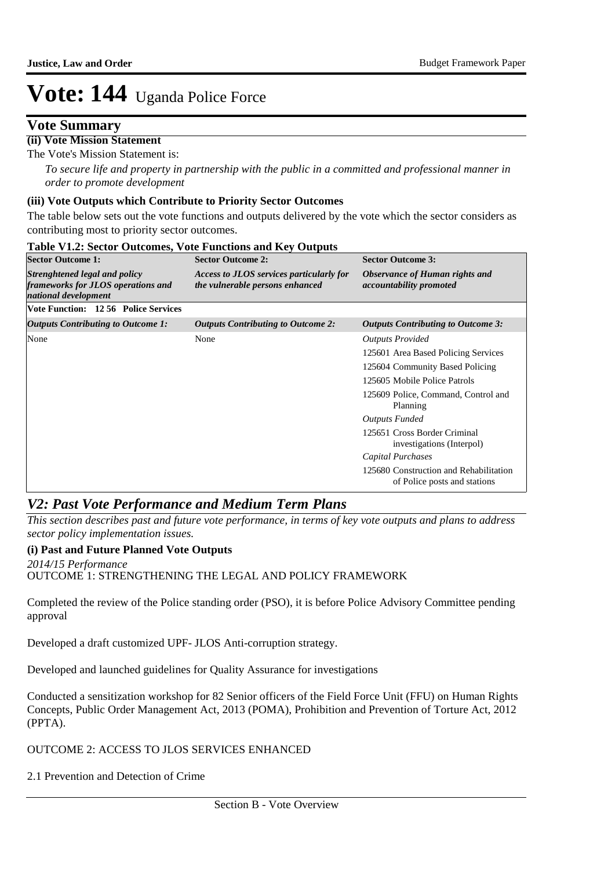### **Vote Summary**

#### **(ii) Vote Mission Statement**

The Vote's Mission Statement is:

*To secure life and property in partnership with the public in a committed and professional manner in order to promote development*

#### **(iii) Vote Outputs which Contribute to Priority Sector Outcomes**

The table below sets out the vote functions and outputs delivered by the vote which the sector considers as contributing most to priority sector outcomes.

| <b>Sector Outcome 1:</b>                                                                    | <b>Sector Outcome 2:</b>                                                    | <b>Sector Outcome 3:</b>                                               |
|---------------------------------------------------------------------------------------------|-----------------------------------------------------------------------------|------------------------------------------------------------------------|
| Strenghtened legal and policy<br>frameworks for JLOS operations and<br>national development | Access to JLOS services particularly for<br>the vulnerable persons enhanced | Observance of Human rights and<br><i>accountability promoted</i>       |
| <b>Vote Function: 1256 Police Services</b>                                                  |                                                                             |                                                                        |
| <b>Outputs Contributing to Outcome 1:</b>                                                   | <b>Outputs Contributing to Outcome 2:</b>                                   | <b>Outputs Contributing to Outcome 3:</b>                              |
| None                                                                                        | None                                                                        | <b>Outputs Provided</b>                                                |
|                                                                                             |                                                                             | 125601 Area Based Policing Services                                    |
|                                                                                             |                                                                             | 125604 Community Based Policing                                        |
|                                                                                             |                                                                             | 125605 Mobile Police Patrols                                           |
|                                                                                             |                                                                             | 125609 Police, Command, Control and<br>Planning                        |
|                                                                                             |                                                                             | <b>Outputs Funded</b>                                                  |
|                                                                                             |                                                                             | 125651 Cross Border Criminal<br>investigations (Interpol)              |
|                                                                                             |                                                                             | Capital Purchases                                                      |
|                                                                                             |                                                                             | 125680 Construction and Rehabilitation<br>of Police posts and stations |

### **Table V1.2: Sector Outcomes, Vote Functions and Key Outputs**

### *V2: Past Vote Performance and Medium Term Plans*

*This section describes past and future vote performance, in terms of key vote outputs and plans to address sector policy implementation issues.* 

#### **(i) Past and Future Planned Vote Outputs**

OUTCOME 1: STRENGTHENING THE LEGAL AND POLICY FRAMEWORK *2014/15 Performance*

Completed the review of the Police standing order (PSO), it is before Police Advisory Committee pending approval

Developed a draft customized UPF- JLOS Anti-corruption strategy.

Developed and launched guidelines for Quality Assurance for investigations

Conducted a sensitization workshop for 82 Senior officers of the Field Force Unit (FFU) on Human Rights Concepts, Public Order Management Act, 2013 (POMA), Prohibition and Prevention of Torture Act, 2012 (PPTA).

#### OUTCOME 2: ACCESS TO JLOS SERVICES ENHANCED

2.1 Prevention and Detection of Crime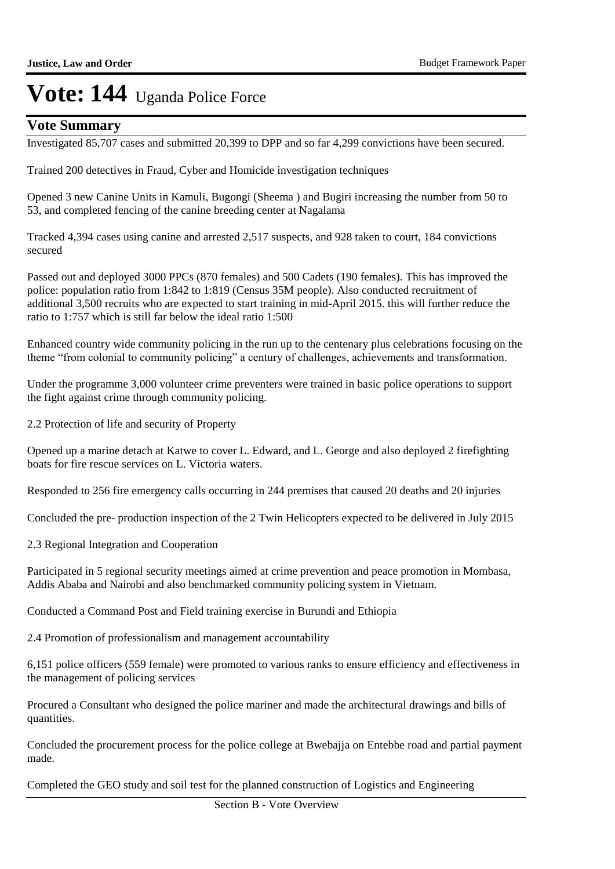### **Vote Summary**

Investigated 85,707 cases and submitted 20,399 to DPP and so far 4,299 convictions have been secured.

Trained 200 detectives in Fraud, Cyber and Homicide investigation techniques

Opened 3 new Canine Units in Kamuli, Bugongi (Sheema ) and Bugiri increasing the number from 50 to 53, and completed fencing of the canine breeding center at Nagalama

Tracked 4,394 cases using canine and arrested 2,517 suspects, and 928 taken to court, 184 convictions secured

Passed out and deployed 3000 PPCs (870 females) and 500 Cadets (190 females). This has improved the police: population ratio from 1:842 to 1:819 (Census 35M people). Also conducted recruitment of additional 3,500 recruits who are expected to start training in mid-April 2015. this will further reduce the ratio to 1:757 which is still far below the ideal ratio 1:500

Enhanced country wide community policing in the run up to the centenary plus celebrations focusing on the theme "from colonial to community policing" a century of challenges, achievements and transformation.

Under the programme 3,000 volunteer crime preventers were trained in basic police operations to support the fight against crime through community policing.

2.2 Protection of life and security of Property

Opened up a marine detach at Katwe to cover L. Edward, and L. George and also deployed 2 firefighting boats for fire rescue services on L. Victoria waters.

Responded to 256 fire emergency calls occurring in 244 premises that caused 20 deaths and 20 injuries

Concluded the pre- production inspection of the 2 Twin Helicopters expected to be delivered in July 2015

2.3 Regional Integration and Cooperation

Participated in 5 regional security meetings aimed at crime prevention and peace promotion in Mombasa, Addis Ababa and Nairobi and also benchmarked community policing system in Vietnam.

Conducted a Command Post and Field training exercise in Burundi and Ethiopia

2.4 Promotion of professionalism and management accountability

6,151 police officers (559 female) were promoted to various ranks to ensure efficiency and effectiveness in the management of policing services

Procured a Consultant who designed the police mariner and made the architectural drawings and bills of quantities.

Concluded the procurement process for the police college at Bwebajja on Entebbe road and partial payment made.

Completed the GEO study and soil test for the planned construction of Logistics and Engineering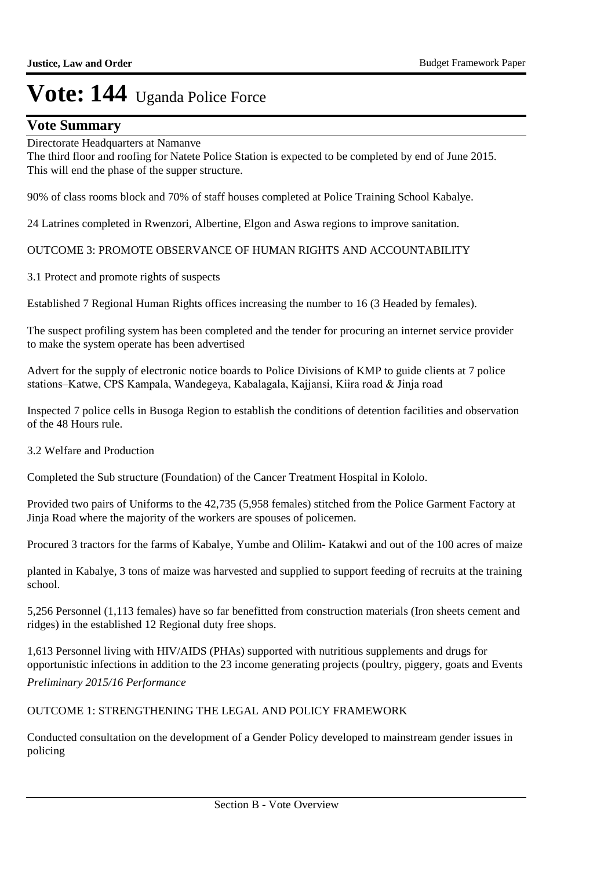### **Vote Summary**

#### Directorate Headquarters at Namanve

The third floor and roofing for Natete Police Station is expected to be completed by end of June 2015. This will end the phase of the supper structure.

90% of class rooms block and 70% of staff houses completed at Police Training School Kabalye.

24 Latrines completed in Rwenzori, Albertine, Elgon and Aswa regions to improve sanitation.

OUTCOME 3: PROMOTE OBSERVANCE OF HUMAN RIGHTS AND ACCOUNTABILITY

3.1 Protect and promote rights of suspects

Established 7 Regional Human Rights offices increasing the number to 16 (3 Headed by females).

The suspect profiling system has been completed and the tender for procuring an internet service provider to make the system operate has been advertised

Advert for the supply of electronic notice boards to Police Divisions of KMP to guide clients at 7 police stations–Katwe, CPS Kampala, Wandegeya, Kabalagala, Kajjansi, Kiira road & Jinja road

Inspected 7 police cells in Busoga Region to establish the conditions of detention facilities and observation of the 48 Hours rule.

3.2 Welfare and Production

Completed the Sub structure (Foundation) of the Cancer Treatment Hospital in Kololo.

Provided two pairs of Uniforms to the 42,735 (5,958 females) stitched from the Police Garment Factory at Jinja Road where the majority of the workers are spouses of policemen.

Procured 3 tractors for the farms of Kabalye, Yumbe and Olilim- Katakwi and out of the 100 acres of maize

planted in Kabalye, 3 tons of maize was harvested and supplied to support feeding of recruits at the training school.

5,256 Personnel (1,113 females) have so far benefitted from construction materials (Iron sheets cement and ridges) in the established 12 Regional duty free shops.

1,613 Personnel living with HIV/AIDS (PHAs) supported with nutritious supplements and drugs for opportunistic infections in addition to the 23 income generating projects (poultry, piggery, goats and Events *Preliminary 2015/16 Performance*

OUTCOME 1: STRENGTHENING THE LEGAL AND POLICY FRAMEWORK

Conducted consultation on the development of a Gender Policy developed to mainstream gender issues in policing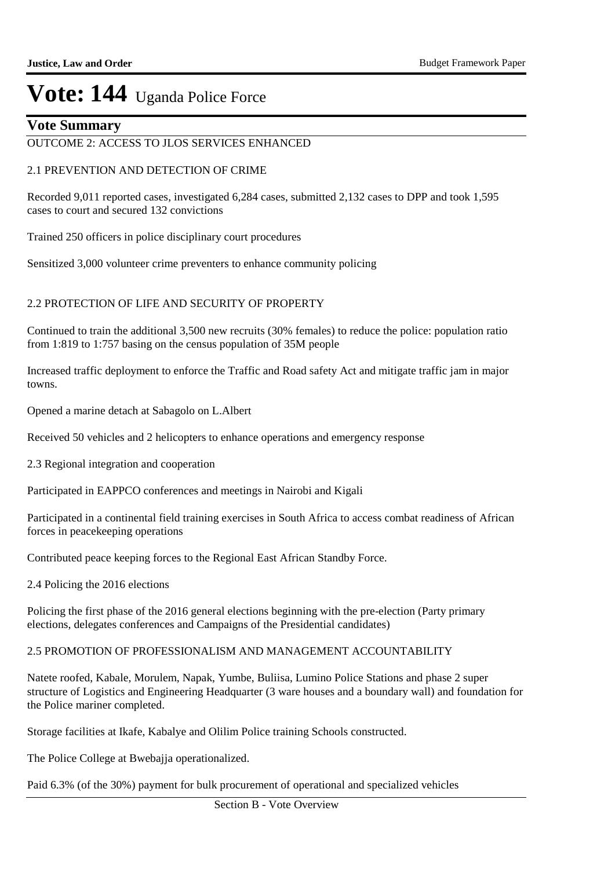### **Vote Summary**

#### OUTCOME 2: ACCESS TO JLOS SERVICES ENHANCED

#### 2.1 PREVENTION AND DETECTION OF CRIME

Recorded 9,011 reported cases, investigated 6,284 cases, submitted 2,132 cases to DPP and took 1,595 cases to court and secured 132 convictions

Trained 250 officers in police disciplinary court procedures

Sensitized 3,000 volunteer crime preventers to enhance community policing

#### 2.2 PROTECTION OF LIFE AND SECURITY OF PROPERTY

Continued to train the additional 3,500 new recruits (30% females) to reduce the police: population ratio from 1:819 to 1:757 basing on the census population of 35M people

Increased traffic deployment to enforce the Traffic and Road safety Act and mitigate traffic jam in major towns.

Opened a marine detach at Sabagolo on L.Albert

Received 50 vehicles and 2 helicopters to enhance operations and emergency response

2.3 Regional integration and cooperation

Participated in EAPPCO conferences and meetings in Nairobi and Kigali

Participated in a continental field training exercises in South Africa to access combat readiness of African forces in peacekeeping operations

Contributed peace keeping forces to the Regional East African Standby Force.

2.4 Policing the 2016 elections

Policing the first phase of the 2016 general elections beginning with the pre-election (Party primary elections, delegates conferences and Campaigns of the Presidential candidates)

#### 2.5 PROMOTION OF PROFESSIONALISM AND MANAGEMENT ACCOUNTABILITY

Natete roofed, Kabale, Morulem, Napak, Yumbe, Buliisa, Lumino Police Stations and phase 2 super structure of Logistics and Engineering Headquarter (3 ware houses and a boundary wall) and foundation for the Police mariner completed.

Storage facilities at Ikafe, Kabalye and Olilim Police training Schools constructed.

The Police College at Bwebajja operationalized.

Paid 6.3% (of the 30%) payment for bulk procurement of operational and specialized vehicles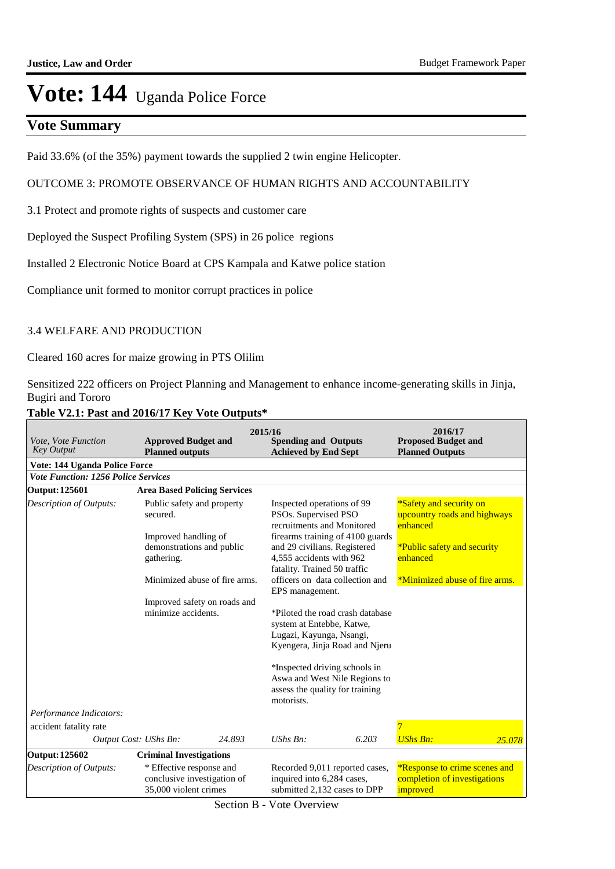### **Vote Summary**

Paid 33.6% (of the 35%) payment towards the supplied 2 twin engine Helicopter.

#### OUTCOME 3: PROMOTE OBSERVANCE OF HUMAN RIGHTS AND ACCOUNTABILITY

3.1 Protect and promote rights of suspects and customer care

Deployed the Suspect Profiling System (SPS) in 26 police regions

Installed 2 Electronic Notice Board at CPS Kampala and Katwe police station

Compliance unit formed to monitor corrupt practices in police

#### 3.4 WELFARE AND PRODUCTION

Cleared 160 acres for maize growing in PTS Olilim

Sensitized 222 officers on Project Planning and Management to enhance income-generating skills in Jinja, Bugiri and Tororo

| Vote, Vote Function<br><b>Key Output</b>                | <b>Approved Budget and</b><br><b>Planned outputs</b>                                                               |                               | 2015/16<br><b>Spending and Outputs</b><br><b>Achieved by End Sept</b>                                                                                                                                                              |                                                                    | 2016/17<br><b>Proposed Budget and</b><br><b>Planned Outputs</b>                                                                                  |        |
|---------------------------------------------------------|--------------------------------------------------------------------------------------------------------------------|-------------------------------|------------------------------------------------------------------------------------------------------------------------------------------------------------------------------------------------------------------------------------|--------------------------------------------------------------------|--------------------------------------------------------------------------------------------------------------------------------------------------|--------|
| <b>Vote: 144 Uganda Police Force</b>                    |                                                                                                                    |                               |                                                                                                                                                                                                                                    |                                                                    |                                                                                                                                                  |        |
| <b>Vote Function: 1256 Police Services</b>              |                                                                                                                    |                               |                                                                                                                                                                                                                                    |                                                                    |                                                                                                                                                  |        |
| <b>Output: 125601</b>                                   | <b>Area Based Policing Services</b>                                                                                |                               |                                                                                                                                                                                                                                    |                                                                    |                                                                                                                                                  |        |
| <b>Description of Outputs:</b>                          | Public safety and property<br>secured.<br>Improved handling of<br>demonstrations and public<br>gathering.          | Minimized abuse of fire arms. | Inspected operations of 99<br>PSOs. Supervised PSO<br>recruitments and Monitored<br>and 29 civilians. Registered<br>4,555 accidents with 962<br>fatality. Trained 50 traffic<br>officers on data collection and<br>EPS management. | firearms training of 4100 guards                                   | *Safety and security on<br>upcountry roads and highways<br>enhanced<br>*Public safety and security<br>enhanced<br>*Minimized abuse of fire arms. |        |
|                                                         | minimize accidents.                                                                                                | Improved safety on roads and  | system at Entebbe, Katwe,<br>Lugazi, Kayunga, Nsangi,<br>*Inspected driving schools in<br>Aswa and West Nile Regions to<br>assess the quality for training<br>motorists.                                                           | *Piloted the road crash database<br>Kyengera, Jinja Road and Njeru |                                                                                                                                                  |        |
| Performance Indicators:                                 |                                                                                                                    |                               |                                                                                                                                                                                                                                    |                                                                    |                                                                                                                                                  |        |
| accident fatality rate                                  |                                                                                                                    |                               |                                                                                                                                                                                                                                    |                                                                    | 7                                                                                                                                                |        |
|                                                         | Output Cost: UShs Bn:                                                                                              | 24.893                        | $UShs Bn$ :                                                                                                                                                                                                                        | 6.203                                                              | <b>UShs Bn:</b>                                                                                                                                  | 25.078 |
| <b>Output: 125602</b><br><b>Description of Outputs:</b> | <b>Criminal Investigations</b><br>* Effective response and<br>conclusive investigation of<br>35,000 violent crimes |                               | Recorded 9,011 reported cases,<br>inquired into 6,284 cases,<br>submitted 2,132 cases to DPP                                                                                                                                       |                                                                    | <i>*Response to crime scenes and</i><br>completion of investigations<br>improved                                                                 |        |

### **Table V2.1: Past and 2016/17 Key Vote Outputs\***

Section B - Vote Overview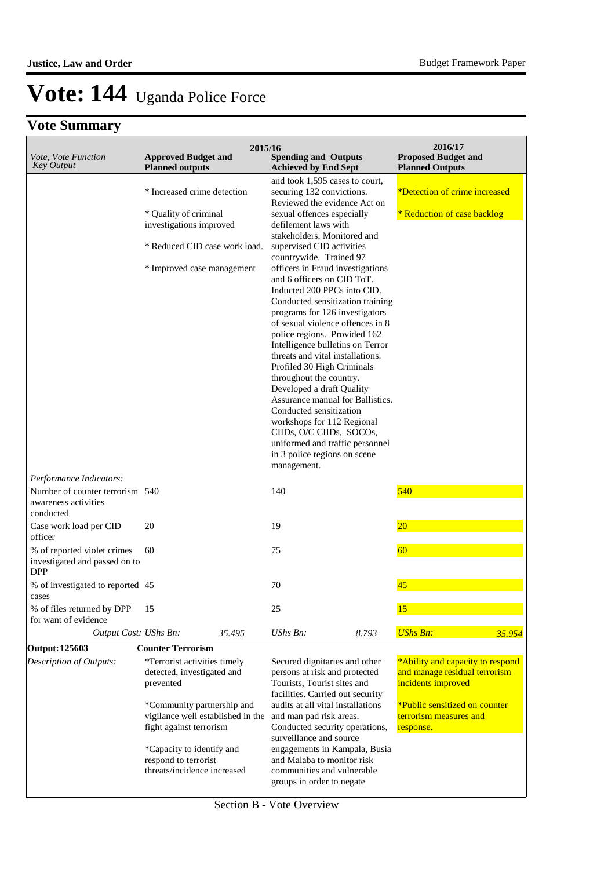|                                                                            |                                                                                                                                                | 2015/16                                                                                                                                                                                                                                                                                                                                                                                                                                                                                                                                                                                                                                                                                                                                                                                                                                       | 2016/17                                                                                                                         |
|----------------------------------------------------------------------------|------------------------------------------------------------------------------------------------------------------------------------------------|-----------------------------------------------------------------------------------------------------------------------------------------------------------------------------------------------------------------------------------------------------------------------------------------------------------------------------------------------------------------------------------------------------------------------------------------------------------------------------------------------------------------------------------------------------------------------------------------------------------------------------------------------------------------------------------------------------------------------------------------------------------------------------------------------------------------------------------------------|---------------------------------------------------------------------------------------------------------------------------------|
| Vote, Vote Function<br><b>Key Output</b>                                   | <b>Approved Budget and</b><br><b>Planned outputs</b>                                                                                           | <b>Spending and Outputs</b><br><b>Achieved by End Sept</b>                                                                                                                                                                                                                                                                                                                                                                                                                                                                                                                                                                                                                                                                                                                                                                                    | <b>Proposed Budget and</b><br><b>Planned Outputs</b>                                                                            |
|                                                                            | * Increased crime detection<br>* Quality of criminal<br>investigations improved<br>* Reduced CID case work load.<br>* Improved case management | and took 1,595 cases to court,<br>securing 132 convictions.<br>Reviewed the evidence Act on<br>sexual offences especially<br>defilement laws with<br>stakeholders. Monitored and<br>supervised CID activities<br>countrywide. Trained 97<br>officers in Fraud investigations<br>and 6 officers on CID ToT.<br>Inducted 200 PPCs into CID.<br>Conducted sensitization training<br>programs for 126 investigators<br>of sexual violence offences in 8<br>police regions. Provided 162<br>Intelligence bulletins on Terror<br>threats and vital installations.<br>Profiled 30 High Criminals<br>throughout the country.<br>Developed a draft Quality<br>Assurance manual for Ballistics.<br>Conducted sensitization<br>workshops for 112 Regional<br>CIIDs, O/C CIIDs, SOCOs,<br>uniformed and traffic personnel<br>in 3 police regions on scene | *Detection of crime increased<br>* Reduction of case backlog                                                                    |
| Performance Indicators:                                                    |                                                                                                                                                | management.                                                                                                                                                                                                                                                                                                                                                                                                                                                                                                                                                                                                                                                                                                                                                                                                                                   |                                                                                                                                 |
| Number of counter terrorism 540<br>awareness activities<br>conducted       |                                                                                                                                                | 140                                                                                                                                                                                                                                                                                                                                                                                                                                                                                                                                                                                                                                                                                                                                                                                                                                           | 540                                                                                                                             |
| Case work load per CID<br>officer                                          | 20                                                                                                                                             | 19                                                                                                                                                                                                                                                                                                                                                                                                                                                                                                                                                                                                                                                                                                                                                                                                                                            | $ 20\rangle$                                                                                                                    |
| % of reported violet crimes<br>investigated and passed on to<br><b>DPP</b> | 60                                                                                                                                             | 75                                                                                                                                                                                                                                                                                                                                                                                                                                                                                                                                                                                                                                                                                                                                                                                                                                            | 60                                                                                                                              |
| % of investigated to reported 45<br>cases                                  |                                                                                                                                                | 70                                                                                                                                                                                                                                                                                                                                                                                                                                                                                                                                                                                                                                                                                                                                                                                                                                            | 45                                                                                                                              |
| % of files returned by DPP<br>for want of evidence                         | 15                                                                                                                                             | 25                                                                                                                                                                                                                                                                                                                                                                                                                                                                                                                                                                                                                                                                                                                                                                                                                                            | 15                                                                                                                              |
| Output Cost: UShs Bn:                                                      | 35.495                                                                                                                                         | UShs Bn:<br>8.793                                                                                                                                                                                                                                                                                                                                                                                                                                                                                                                                                                                                                                                                                                                                                                                                                             | <b>UShs Bn:</b><br>35.954                                                                                                       |
| <b>Output: 125603</b><br>Description of Outputs:                           | <b>Counter Terrorism</b>                                                                                                                       |                                                                                                                                                                                                                                                                                                                                                                                                                                                                                                                                                                                                                                                                                                                                                                                                                                               |                                                                                                                                 |
|                                                                            | *Terrorist activities timely<br>detected, investigated and<br>prevented<br>*Community partnership and                                          | Secured dignitaries and other<br>persons at risk and protected<br>Tourists, Tourist sites and<br>facilities. Carried out security<br>audits at all vital installations                                                                                                                                                                                                                                                                                                                                                                                                                                                                                                                                                                                                                                                                        | *Ability and capacity to respond<br>and manage residual terrorism<br>incidents improved<br><i>*Public sensitized on counter</i> |
|                                                                            | vigilance well established in the<br>fight against terrorism                                                                                   | and man pad risk areas.<br>Conducted security operations,<br>surveillance and source                                                                                                                                                                                                                                                                                                                                                                                                                                                                                                                                                                                                                                                                                                                                                          | terrorism measures and<br>response.                                                                                             |
|                                                                            | *Capacity to identify and<br>respond to terrorist<br>threats/incidence increased                                                               | engagements in Kampala, Busia<br>and Malaba to monitor risk<br>communities and vulnerable<br>groups in order to negate                                                                                                                                                                                                                                                                                                                                                                                                                                                                                                                                                                                                                                                                                                                        |                                                                                                                                 |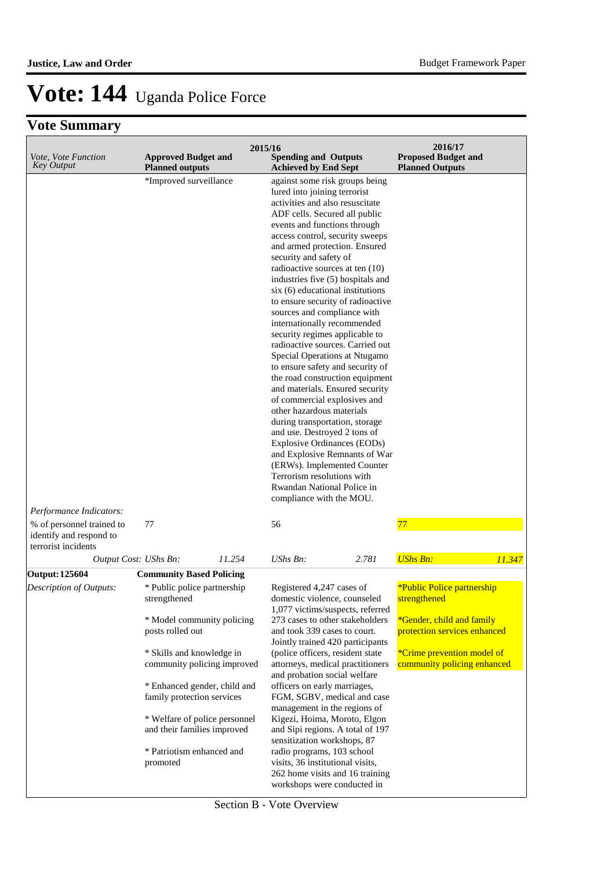| Vote, Vote Function<br><b>Key Output</b>                                    | <b>Approved Budget and</b><br><b>Planned outputs</b>                                                                                                                                                                                                                                                                                                                |                                                                                                                                                                                                                                                                                                                                                                                                                                                                                                                                                                                                                                                                                                                                                                                                                                                                                                                                                                                                                                    | 2015/16<br><b>Spending and Outputs</b><br><b>Achieved by End Sept</b>                                                                                                                                                                                                                                                                                                                                                                                                                                                                                                                                               |       | 2016/17<br><b>Proposed Budget and</b><br><b>Planned Outputs</b>                                                                                                             |        |
|-----------------------------------------------------------------------------|---------------------------------------------------------------------------------------------------------------------------------------------------------------------------------------------------------------------------------------------------------------------------------------------------------------------------------------------------------------------|------------------------------------------------------------------------------------------------------------------------------------------------------------------------------------------------------------------------------------------------------------------------------------------------------------------------------------------------------------------------------------------------------------------------------------------------------------------------------------------------------------------------------------------------------------------------------------------------------------------------------------------------------------------------------------------------------------------------------------------------------------------------------------------------------------------------------------------------------------------------------------------------------------------------------------------------------------------------------------------------------------------------------------|---------------------------------------------------------------------------------------------------------------------------------------------------------------------------------------------------------------------------------------------------------------------------------------------------------------------------------------------------------------------------------------------------------------------------------------------------------------------------------------------------------------------------------------------------------------------------------------------------------------------|-------|-----------------------------------------------------------------------------------------------------------------------------------------------------------------------------|--------|
| Performance Indicators:                                                     |                                                                                                                                                                                                                                                                                                                                                                     | against some risk groups being<br>lured into joining terrorist<br>activities and also resuscitate<br>ADF cells. Secured all public<br>events and functions through<br>access control, security sweeps<br>and armed protection. Ensured<br>security and safety of<br>radioactive sources at ten (10)<br>industries five (5) hospitals and<br>$s$ ix $(6)$ educational institutions<br>to ensure security of radioactive<br>sources and compliance with<br>internationally recommended<br>security regimes applicable to<br>radioactive sources. Carried out<br>Special Operations at Ntugamo<br>to ensure safety and security of<br>the road construction equipment<br>and materials. Ensured security<br>of commercial explosives and<br>other hazardous materials<br>during transportation, storage<br>and use. Destroyed 2 tons of<br><b>Explosive Ordinances (EODs)</b><br>and Explosive Remnants of War<br>(ERWs). Implemented Counter<br>Terrorism resolutions with<br>Rwandan National Police in<br>compliance with the MOU. |                                                                                                                                                                                                                                                                                                                                                                                                                                                                                                                                                                                                                     |       |                                                                                                                                                                             |        |
| % of personnel trained to<br>identify and respond to<br>terrorist incidents | 77                                                                                                                                                                                                                                                                                                                                                                  |                                                                                                                                                                                                                                                                                                                                                                                                                                                                                                                                                                                                                                                                                                                                                                                                                                                                                                                                                                                                                                    | 56                                                                                                                                                                                                                                                                                                                                                                                                                                                                                                                                                                                                                  |       | 77                                                                                                                                                                          |        |
| Output Cost: UShs Bn:                                                       |                                                                                                                                                                                                                                                                                                                                                                     | 11.254                                                                                                                                                                                                                                                                                                                                                                                                                                                                                                                                                                                                                                                                                                                                                                                                                                                                                                                                                                                                                             | UShs Bn:                                                                                                                                                                                                                                                                                                                                                                                                                                                                                                                                                                                                            | 2.781 | <b>UShs Bn:</b>                                                                                                                                                             | 11.347 |
| <b>Output: 125604</b><br>Description of Outputs:                            | <b>Community Based Policing</b><br>* Public police partnership<br>strengthened<br>* Model community policing<br>posts rolled out<br>* Skills and knowledge in<br>community policing improved<br>* Enhanced gender, child and<br>family protection services<br>* Welfare of police personnel<br>and their families improved<br>* Patriotism enhanced and<br>promoted |                                                                                                                                                                                                                                                                                                                                                                                                                                                                                                                                                                                                                                                                                                                                                                                                                                                                                                                                                                                                                                    | Registered 4,247 cases of<br>domestic violence, counseled<br>1,077 victims/suspects, referred<br>273 cases to other stakeholders<br>and took 339 cases to court.<br>Jointly trained 420 participants<br>(police officers, resident state<br>attorneys, medical practitioners<br>and probation social welfare<br>officers on early marriages,<br>FGM, SGBV, medical and case<br>management in the regions of<br>Kigezi, Hoima, Moroto, Elgon<br>and Sipi regions. A total of 197<br>sensitization workshops, 87<br>radio programs, 103 school<br>visits, 36 institutional visits,<br>262 home visits and 16 training |       | *Public Police partnership<br>strengthened<br>*Gender, child and family<br>protection services enhanced<br><i>*Crime prevention model of</i><br>community policing enhanced |        |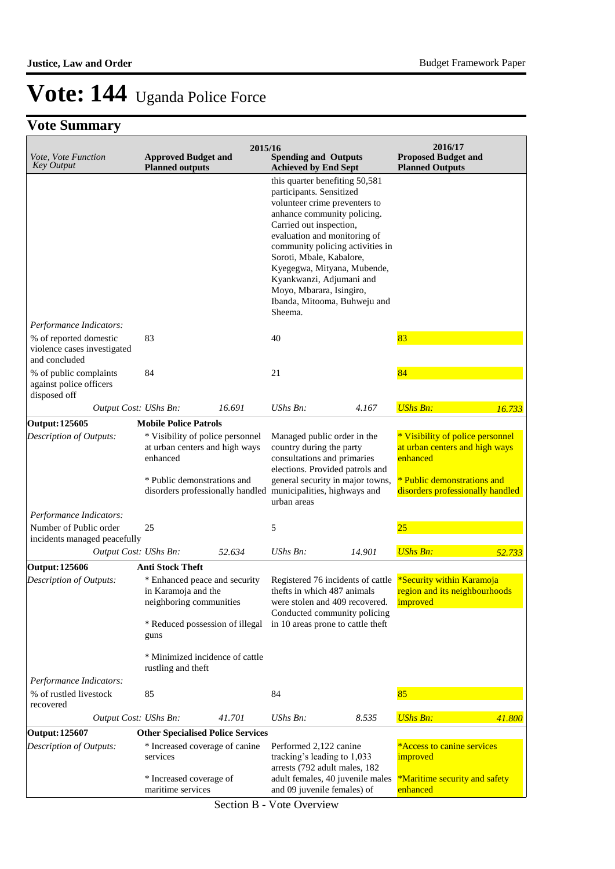## **Vote Summary**

| Vote, Vote Function<br><b>Key Output</b>                               | <b>Approved Budget and</b><br><b>Planned outputs</b>                            | 2015/16 | <b>Spending and Outputs</b><br><b>Achieved by End Sept</b>                                                                                                                                                                                                                                                                                                                              |        | 2016/17<br><b>Proposed Budget and</b><br><b>Planned Outputs</b>                |        |
|------------------------------------------------------------------------|---------------------------------------------------------------------------------|---------|-----------------------------------------------------------------------------------------------------------------------------------------------------------------------------------------------------------------------------------------------------------------------------------------------------------------------------------------------------------------------------------------|--------|--------------------------------------------------------------------------------|--------|
|                                                                        |                                                                                 |         | this quarter benefiting 50,581<br>participants. Sensitized<br>volunteer crime preventers to<br>anhance community policing.<br>Carried out inspection,<br>evaluation and monitoring of<br>community policing activities in<br>Soroti, Mbale, Kabalore,<br>Kyegegwa, Mityana, Mubende,<br>Kyankwanzi, Adjumani and<br>Moyo, Mbarara, Isingiro,<br>Ibanda, Mitooma, Buhweju and<br>Sheema. |        |                                                                                |        |
| Performance Indicators:                                                |                                                                                 |         |                                                                                                                                                                                                                                                                                                                                                                                         |        |                                                                                |        |
| % of reported domestic<br>violence cases investigated<br>and concluded | 83                                                                              |         | 40                                                                                                                                                                                                                                                                                                                                                                                      |        | 83                                                                             |        |
| % of public complaints<br>against police officers<br>disposed off      | 84                                                                              |         | 21                                                                                                                                                                                                                                                                                                                                                                                      |        | 84                                                                             |        |
| Output Cost: UShs Bn:                                                  |                                                                                 | 16.691  | <b>UShs Bn:</b>                                                                                                                                                                                                                                                                                                                                                                         | 4.167  | <b>UShs Bn:</b>                                                                | 16.733 |
| <b>Output: 125605</b>                                                  | <b>Mobile Police Patrols</b>                                                    |         |                                                                                                                                                                                                                                                                                                                                                                                         |        |                                                                                |        |
| Description of Outputs:                                                | * Visibility of police personnel<br>at urban centers and high ways<br>enhanced  |         | Managed public order in the<br>country during the party<br>consultations and primaries<br>elections. Provided patrols and                                                                                                                                                                                                                                                               |        | * Visibility of police personnel<br>at urban centers and high ways<br>enhanced |        |
|                                                                        | * Public demonstrations and<br>disorders professionally handled                 |         | general security in major towns,<br>municipalities, highways and<br>urban areas                                                                                                                                                                                                                                                                                                         |        | * Public demonstrations and<br>disorders professionally handled                |        |
| Performance Indicators:                                                |                                                                                 |         |                                                                                                                                                                                                                                                                                                                                                                                         |        |                                                                                |        |
| Number of Public order<br>incidents managed peacefully                 | 25                                                                              |         | 5                                                                                                                                                                                                                                                                                                                                                                                       |        | 25                                                                             |        |
| Output Cost: UShs Bn:                                                  |                                                                                 | 52.634  | UShs Bn:                                                                                                                                                                                                                                                                                                                                                                                | 14.901 | <b>UShs Bn:</b>                                                                | 52.733 |
| <b>Output: 125606</b>                                                  | Anti Stock Theft                                                                |         |                                                                                                                                                                                                                                                                                                                                                                                         |        |                                                                                |        |
| Description of Outputs:                                                | * Enhanced peace and security<br>in Karamoja and the<br>neighboring communities |         | Registered 76 incidents of cattle<br>thefts in which 487 animals<br>were stolen and 409 recovered.<br>Conducted community policing<br>in 10 areas prone to cattle theft                                                                                                                                                                                                                 |        | *Security within Karamoja<br>region and its neighbourhoods<br><b>improved</b>  |        |
|                                                                        | * Reduced possession of illegal<br>guns                                         |         |                                                                                                                                                                                                                                                                                                                                                                                         |        |                                                                                |        |
|                                                                        | * Minimized incidence of cattle<br>rustling and theft                           |         |                                                                                                                                                                                                                                                                                                                                                                                         |        |                                                                                |        |
| Performance Indicators:                                                |                                                                                 |         |                                                                                                                                                                                                                                                                                                                                                                                         |        |                                                                                |        |
| % of rustled livestock<br>recovered                                    | 85                                                                              |         | 84                                                                                                                                                                                                                                                                                                                                                                                      |        | 85                                                                             |        |
| Output Cost: UShs Bn:                                                  |                                                                                 | 41.701  | <b>UShs Bn:</b>                                                                                                                                                                                                                                                                                                                                                                         | 8.535  | <b>UShs Bn:</b>                                                                | 41.800 |
| <b>Output: 125607</b>                                                  | <b>Other Specialised Police Services</b>                                        |         |                                                                                                                                                                                                                                                                                                                                                                                         |        |                                                                                |        |
| Description of Outputs:                                                | * Increased coverage of canine<br>services                                      |         | Performed 2,122 canine<br>tracking's leading to 1,033<br>arrests (792 adult males, 182                                                                                                                                                                                                                                                                                                  |        | *Access to canine services<br>improved                                         |        |
|                                                                        | * Increased coverage of<br>maritime services                                    |         | adult females, 40 juvenile males<br>and 09 juvenile females) of                                                                                                                                                                                                                                                                                                                         |        | <i>*Maritime security and safety</i><br>enhanced                               |        |

Section B - Vote Overview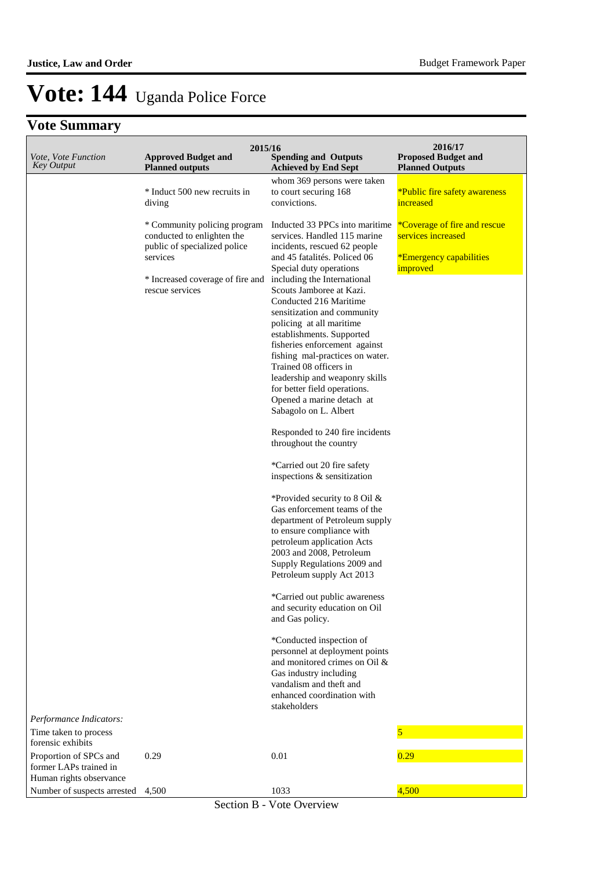| Vote, Vote Function<br><b>Approved Budget and</b><br><b>Spending and Outputs</b><br><b>Key Output</b><br><b>Planned outputs</b><br><b>Planned Outputs</b><br><b>Achieved by End Sept</b><br>whom 369 persons were taken<br>* Induct 500 new recruits in<br>to court securing 168<br><i>*Public fire safety awareness</i><br>increased<br>convictions.<br>diving<br>Inducted 33 PPCs into maritime<br><i><b>*Coverage of fire and rescue</b></i><br>* Community policing program<br>conducted to enlighten the<br>services. Handled 115 marine<br>services increased<br>public of specialized police<br>incidents, rescued 62 people<br>services<br>and 45 fatalités. Policed 06<br><i>*Emergency capabilities</i><br>improved<br>Special duty operations<br>* Increased coverage of fire and<br>including the International<br>rescue services<br>Scouts Jamboree at Kazi.<br>Conducted 216 Maritime<br>sensitization and community<br>policing at all maritime<br>establishments. Supported<br>fisheries enforcement against<br>fishing mal-practices on water.<br>Trained 08 officers in<br>leadership and weaponry skills<br>for better field operations.<br>Opened a marine detach at<br>Sabagolo on L. Albert<br>Responded to 240 fire incidents<br>throughout the country<br>*Carried out 20 fire safety<br>inspections & sensitization<br>*Provided security to 8 Oil $&$<br>Gas enforcement teams of the<br>department of Petroleum supply<br>to ensure compliance with<br>petroleum application Acts<br>2003 and 2008, Petroleum<br>Supply Regulations 2009 and<br>Petroleum supply Act 2013<br>*Carried out public awareness<br>and security education on Oil<br>and Gas policy.<br>*Conducted inspection of<br>personnel at deployment points<br>and monitored crimes on Oil &<br>Gas industry including<br>vandalism and theft and<br>enhanced coordination with<br>stakeholders<br>Performance Indicators:<br>Time taken to process<br>forensic exhibits<br>Proportion of SPCs and<br>0.29<br>0.01<br>0.29<br>former LAPs trained in<br>Human rights observance | 2015/16 | 2016/17                    |
|------------------------------------------------------------------------------------------------------------------------------------------------------------------------------------------------------------------------------------------------------------------------------------------------------------------------------------------------------------------------------------------------------------------------------------------------------------------------------------------------------------------------------------------------------------------------------------------------------------------------------------------------------------------------------------------------------------------------------------------------------------------------------------------------------------------------------------------------------------------------------------------------------------------------------------------------------------------------------------------------------------------------------------------------------------------------------------------------------------------------------------------------------------------------------------------------------------------------------------------------------------------------------------------------------------------------------------------------------------------------------------------------------------------------------------------------------------------------------------------------------------------------------------------------------------------------------------------------------------------------------------------------------------------------------------------------------------------------------------------------------------------------------------------------------------------------------------------------------------------------------------------------------------------------------------------------------------------------------------------------------------------------------------------------------------------------------|---------|----------------------------|
|                                                                                                                                                                                                                                                                                                                                                                                                                                                                                                                                                                                                                                                                                                                                                                                                                                                                                                                                                                                                                                                                                                                                                                                                                                                                                                                                                                                                                                                                                                                                                                                                                                                                                                                                                                                                                                                                                                                                                                                                                                                                              |         | <b>Proposed Budget and</b> |
|                                                                                                                                                                                                                                                                                                                                                                                                                                                                                                                                                                                                                                                                                                                                                                                                                                                                                                                                                                                                                                                                                                                                                                                                                                                                                                                                                                                                                                                                                                                                                                                                                                                                                                                                                                                                                                                                                                                                                                                                                                                                              |         |                            |
|                                                                                                                                                                                                                                                                                                                                                                                                                                                                                                                                                                                                                                                                                                                                                                                                                                                                                                                                                                                                                                                                                                                                                                                                                                                                                                                                                                                                                                                                                                                                                                                                                                                                                                                                                                                                                                                                                                                                                                                                                                                                              |         |                            |
|                                                                                                                                                                                                                                                                                                                                                                                                                                                                                                                                                                                                                                                                                                                                                                                                                                                                                                                                                                                                                                                                                                                                                                                                                                                                                                                                                                                                                                                                                                                                                                                                                                                                                                                                                                                                                                                                                                                                                                                                                                                                              |         |                            |
|                                                                                                                                                                                                                                                                                                                                                                                                                                                                                                                                                                                                                                                                                                                                                                                                                                                                                                                                                                                                                                                                                                                                                                                                                                                                                                                                                                                                                                                                                                                                                                                                                                                                                                                                                                                                                                                                                                                                                                                                                                                                              |         |                            |
|                                                                                                                                                                                                                                                                                                                                                                                                                                                                                                                                                                                                                                                                                                                                                                                                                                                                                                                                                                                                                                                                                                                                                                                                                                                                                                                                                                                                                                                                                                                                                                                                                                                                                                                                                                                                                                                                                                                                                                                                                                                                              |         |                            |
|                                                                                                                                                                                                                                                                                                                                                                                                                                                                                                                                                                                                                                                                                                                                                                                                                                                                                                                                                                                                                                                                                                                                                                                                                                                                                                                                                                                                                                                                                                                                                                                                                                                                                                                                                                                                                                                                                                                                                                                                                                                                              |         |                            |
|                                                                                                                                                                                                                                                                                                                                                                                                                                                                                                                                                                                                                                                                                                                                                                                                                                                                                                                                                                                                                                                                                                                                                                                                                                                                                                                                                                                                                                                                                                                                                                                                                                                                                                                                                                                                                                                                                                                                                                                                                                                                              |         |                            |
|                                                                                                                                                                                                                                                                                                                                                                                                                                                                                                                                                                                                                                                                                                                                                                                                                                                                                                                                                                                                                                                                                                                                                                                                                                                                                                                                                                                                                                                                                                                                                                                                                                                                                                                                                                                                                                                                                                                                                                                                                                                                              |         |                            |
|                                                                                                                                                                                                                                                                                                                                                                                                                                                                                                                                                                                                                                                                                                                                                                                                                                                                                                                                                                                                                                                                                                                                                                                                                                                                                                                                                                                                                                                                                                                                                                                                                                                                                                                                                                                                                                                                                                                                                                                                                                                                              |         |                            |
|                                                                                                                                                                                                                                                                                                                                                                                                                                                                                                                                                                                                                                                                                                                                                                                                                                                                                                                                                                                                                                                                                                                                                                                                                                                                                                                                                                                                                                                                                                                                                                                                                                                                                                                                                                                                                                                                                                                                                                                                                                                                              |         |                            |
|                                                                                                                                                                                                                                                                                                                                                                                                                                                                                                                                                                                                                                                                                                                                                                                                                                                                                                                                                                                                                                                                                                                                                                                                                                                                                                                                                                                                                                                                                                                                                                                                                                                                                                                                                                                                                                                                                                                                                                                                                                                                              |         |                            |
|                                                                                                                                                                                                                                                                                                                                                                                                                                                                                                                                                                                                                                                                                                                                                                                                                                                                                                                                                                                                                                                                                                                                                                                                                                                                                                                                                                                                                                                                                                                                                                                                                                                                                                                                                                                                                                                                                                                                                                                                                                                                              |         |                            |
|                                                                                                                                                                                                                                                                                                                                                                                                                                                                                                                                                                                                                                                                                                                                                                                                                                                                                                                                                                                                                                                                                                                                                                                                                                                                                                                                                                                                                                                                                                                                                                                                                                                                                                                                                                                                                                                                                                                                                                                                                                                                              |         |                            |
|                                                                                                                                                                                                                                                                                                                                                                                                                                                                                                                                                                                                                                                                                                                                                                                                                                                                                                                                                                                                                                                                                                                                                                                                                                                                                                                                                                                                                                                                                                                                                                                                                                                                                                                                                                                                                                                                                                                                                                                                                                                                              |         |                            |
|                                                                                                                                                                                                                                                                                                                                                                                                                                                                                                                                                                                                                                                                                                                                                                                                                                                                                                                                                                                                                                                                                                                                                                                                                                                                                                                                                                                                                                                                                                                                                                                                                                                                                                                                                                                                                                                                                                                                                                                                                                                                              |         |                            |
|                                                                                                                                                                                                                                                                                                                                                                                                                                                                                                                                                                                                                                                                                                                                                                                                                                                                                                                                                                                                                                                                                                                                                                                                                                                                                                                                                                                                                                                                                                                                                                                                                                                                                                                                                                                                                                                                                                                                                                                                                                                                              |         |                            |
|                                                                                                                                                                                                                                                                                                                                                                                                                                                                                                                                                                                                                                                                                                                                                                                                                                                                                                                                                                                                                                                                                                                                                                                                                                                                                                                                                                                                                                                                                                                                                                                                                                                                                                                                                                                                                                                                                                                                                                                                                                                                              |         |                            |
|                                                                                                                                                                                                                                                                                                                                                                                                                                                                                                                                                                                                                                                                                                                                                                                                                                                                                                                                                                                                                                                                                                                                                                                                                                                                                                                                                                                                                                                                                                                                                                                                                                                                                                                                                                                                                                                                                                                                                                                                                                                                              |         |                            |
|                                                                                                                                                                                                                                                                                                                                                                                                                                                                                                                                                                                                                                                                                                                                                                                                                                                                                                                                                                                                                                                                                                                                                                                                                                                                                                                                                                                                                                                                                                                                                                                                                                                                                                                                                                                                                                                                                                                                                                                                                                                                              |         |                            |
|                                                                                                                                                                                                                                                                                                                                                                                                                                                                                                                                                                                                                                                                                                                                                                                                                                                                                                                                                                                                                                                                                                                                                                                                                                                                                                                                                                                                                                                                                                                                                                                                                                                                                                                                                                                                                                                                                                                                                                                                                                                                              |         |                            |
|                                                                                                                                                                                                                                                                                                                                                                                                                                                                                                                                                                                                                                                                                                                                                                                                                                                                                                                                                                                                                                                                                                                                                                                                                                                                                                                                                                                                                                                                                                                                                                                                                                                                                                                                                                                                                                                                                                                                                                                                                                                                              |         |                            |
|                                                                                                                                                                                                                                                                                                                                                                                                                                                                                                                                                                                                                                                                                                                                                                                                                                                                                                                                                                                                                                                                                                                                                                                                                                                                                                                                                                                                                                                                                                                                                                                                                                                                                                                                                                                                                                                                                                                                                                                                                                                                              |         |                            |
|                                                                                                                                                                                                                                                                                                                                                                                                                                                                                                                                                                                                                                                                                                                                                                                                                                                                                                                                                                                                                                                                                                                                                                                                                                                                                                                                                                                                                                                                                                                                                                                                                                                                                                                                                                                                                                                                                                                                                                                                                                                                              |         |                            |
|                                                                                                                                                                                                                                                                                                                                                                                                                                                                                                                                                                                                                                                                                                                                                                                                                                                                                                                                                                                                                                                                                                                                                                                                                                                                                                                                                                                                                                                                                                                                                                                                                                                                                                                                                                                                                                                                                                                                                                                                                                                                              |         |                            |
|                                                                                                                                                                                                                                                                                                                                                                                                                                                                                                                                                                                                                                                                                                                                                                                                                                                                                                                                                                                                                                                                                                                                                                                                                                                                                                                                                                                                                                                                                                                                                                                                                                                                                                                                                                                                                                                                                                                                                                                                                                                                              |         |                            |
|                                                                                                                                                                                                                                                                                                                                                                                                                                                                                                                                                                                                                                                                                                                                                                                                                                                                                                                                                                                                                                                                                                                                                                                                                                                                                                                                                                                                                                                                                                                                                                                                                                                                                                                                                                                                                                                                                                                                                                                                                                                                              |         |                            |
|                                                                                                                                                                                                                                                                                                                                                                                                                                                                                                                                                                                                                                                                                                                                                                                                                                                                                                                                                                                                                                                                                                                                                                                                                                                                                                                                                                                                                                                                                                                                                                                                                                                                                                                                                                                                                                                                                                                                                                                                                                                                              |         |                            |
|                                                                                                                                                                                                                                                                                                                                                                                                                                                                                                                                                                                                                                                                                                                                                                                                                                                                                                                                                                                                                                                                                                                                                                                                                                                                                                                                                                                                                                                                                                                                                                                                                                                                                                                                                                                                                                                                                                                                                                                                                                                                              |         |                            |
|                                                                                                                                                                                                                                                                                                                                                                                                                                                                                                                                                                                                                                                                                                                                                                                                                                                                                                                                                                                                                                                                                                                                                                                                                                                                                                                                                                                                                                                                                                                                                                                                                                                                                                                                                                                                                                                                                                                                                                                                                                                                              |         |                            |
|                                                                                                                                                                                                                                                                                                                                                                                                                                                                                                                                                                                                                                                                                                                                                                                                                                                                                                                                                                                                                                                                                                                                                                                                                                                                                                                                                                                                                                                                                                                                                                                                                                                                                                                                                                                                                                                                                                                                                                                                                                                                              |         |                            |
|                                                                                                                                                                                                                                                                                                                                                                                                                                                                                                                                                                                                                                                                                                                                                                                                                                                                                                                                                                                                                                                                                                                                                                                                                                                                                                                                                                                                                                                                                                                                                                                                                                                                                                                                                                                                                                                                                                                                                                                                                                                                              |         |                            |
|                                                                                                                                                                                                                                                                                                                                                                                                                                                                                                                                                                                                                                                                                                                                                                                                                                                                                                                                                                                                                                                                                                                                                                                                                                                                                                                                                                                                                                                                                                                                                                                                                                                                                                                                                                                                                                                                                                                                                                                                                                                                              |         |                            |
|                                                                                                                                                                                                                                                                                                                                                                                                                                                                                                                                                                                                                                                                                                                                                                                                                                                                                                                                                                                                                                                                                                                                                                                                                                                                                                                                                                                                                                                                                                                                                                                                                                                                                                                                                                                                                                                                                                                                                                                                                                                                              |         |                            |
|                                                                                                                                                                                                                                                                                                                                                                                                                                                                                                                                                                                                                                                                                                                                                                                                                                                                                                                                                                                                                                                                                                                                                                                                                                                                                                                                                                                                                                                                                                                                                                                                                                                                                                                                                                                                                                                                                                                                                                                                                                                                              |         |                            |
|                                                                                                                                                                                                                                                                                                                                                                                                                                                                                                                                                                                                                                                                                                                                                                                                                                                                                                                                                                                                                                                                                                                                                                                                                                                                                                                                                                                                                                                                                                                                                                                                                                                                                                                                                                                                                                                                                                                                                                                                                                                                              |         |                            |
|                                                                                                                                                                                                                                                                                                                                                                                                                                                                                                                                                                                                                                                                                                                                                                                                                                                                                                                                                                                                                                                                                                                                                                                                                                                                                                                                                                                                                                                                                                                                                                                                                                                                                                                                                                                                                                                                                                                                                                                                                                                                              |         |                            |
|                                                                                                                                                                                                                                                                                                                                                                                                                                                                                                                                                                                                                                                                                                                                                                                                                                                                                                                                                                                                                                                                                                                                                                                                                                                                                                                                                                                                                                                                                                                                                                                                                                                                                                                                                                                                                                                                                                                                                                                                                                                                              |         |                            |
|                                                                                                                                                                                                                                                                                                                                                                                                                                                                                                                                                                                                                                                                                                                                                                                                                                                                                                                                                                                                                                                                                                                                                                                                                                                                                                                                                                                                                                                                                                                                                                                                                                                                                                                                                                                                                                                                                                                                                                                                                                                                              |         |                            |
|                                                                                                                                                                                                                                                                                                                                                                                                                                                                                                                                                                                                                                                                                                                                                                                                                                                                                                                                                                                                                                                                                                                                                                                                                                                                                                                                                                                                                                                                                                                                                                                                                                                                                                                                                                                                                                                                                                                                                                                                                                                                              |         |                            |
|                                                                                                                                                                                                                                                                                                                                                                                                                                                                                                                                                                                                                                                                                                                                                                                                                                                                                                                                                                                                                                                                                                                                                                                                                                                                                                                                                                                                                                                                                                                                                                                                                                                                                                                                                                                                                                                                                                                                                                                                                                                                              |         |                            |
|                                                                                                                                                                                                                                                                                                                                                                                                                                                                                                                                                                                                                                                                                                                                                                                                                                                                                                                                                                                                                                                                                                                                                                                                                                                                                                                                                                                                                                                                                                                                                                                                                                                                                                                                                                                                                                                                                                                                                                                                                                                                              |         |                            |
|                                                                                                                                                                                                                                                                                                                                                                                                                                                                                                                                                                                                                                                                                                                                                                                                                                                                                                                                                                                                                                                                                                                                                                                                                                                                                                                                                                                                                                                                                                                                                                                                                                                                                                                                                                                                                                                                                                                                                                                                                                                                              |         |                            |
|                                                                                                                                                                                                                                                                                                                                                                                                                                                                                                                                                                                                                                                                                                                                                                                                                                                                                                                                                                                                                                                                                                                                                                                                                                                                                                                                                                                                                                                                                                                                                                                                                                                                                                                                                                                                                                                                                                                                                                                                                                                                              |         |                            |
|                                                                                                                                                                                                                                                                                                                                                                                                                                                                                                                                                                                                                                                                                                                                                                                                                                                                                                                                                                                                                                                                                                                                                                                                                                                                                                                                                                                                                                                                                                                                                                                                                                                                                                                                                                                                                                                                                                                                                                                                                                                                              |         |                            |
|                                                                                                                                                                                                                                                                                                                                                                                                                                                                                                                                                                                                                                                                                                                                                                                                                                                                                                                                                                                                                                                                                                                                                                                                                                                                                                                                                                                                                                                                                                                                                                                                                                                                                                                                                                                                                                                                                                                                                                                                                                                                              |         |                            |
|                                                                                                                                                                                                                                                                                                                                                                                                                                                                                                                                                                                                                                                                                                                                                                                                                                                                                                                                                                                                                                                                                                                                                                                                                                                                                                                                                                                                                                                                                                                                                                                                                                                                                                                                                                                                                                                                                                                                                                                                                                                                              |         |                            |
| 4,500<br>Number of suspects arrested<br>1033<br>4,500                                                                                                                                                                                                                                                                                                                                                                                                                                                                                                                                                                                                                                                                                                                                                                                                                                                                                                                                                                                                                                                                                                                                                                                                                                                                                                                                                                                                                                                                                                                                                                                                                                                                                                                                                                                                                                                                                                                                                                                                                        |         |                            |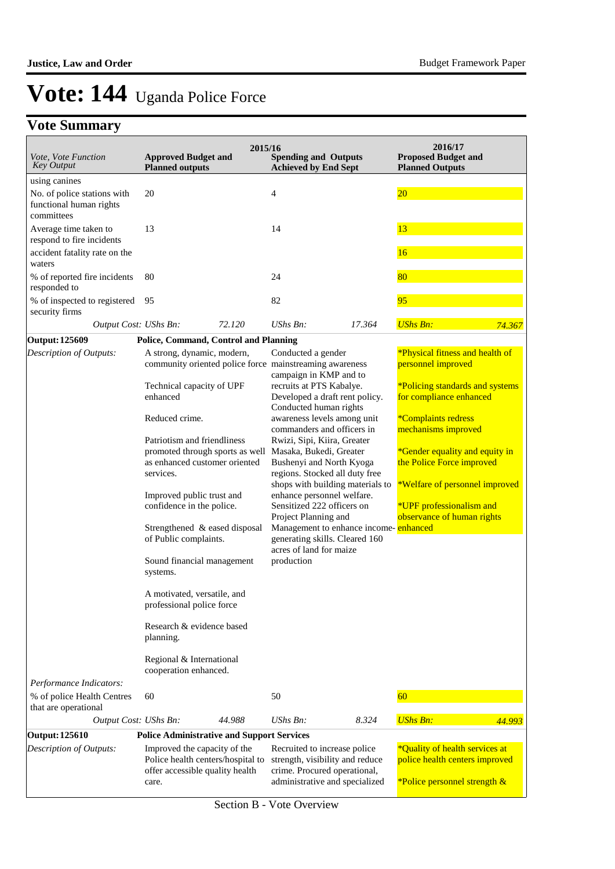| Vote, Vote Function<br><b>Key Output</b>                                              | <b>Approved Budget and</b><br><b>Planned outputs</b>                                                                                                                                                                                                                                                                                                                                                                                                                                                                           | 2015/16 | <b>Spending and Outputs</b><br><b>Achieved by End Sept</b>                                                                                                                                                                                                                                                                                                                                                                                                                                                                                                                                                                       |        | 2016/17<br><b>Proposed Budget and</b><br><b>Planned Outputs</b>                                                                                                                                                                                                                                                                     |        |  |
|---------------------------------------------------------------------------------------|--------------------------------------------------------------------------------------------------------------------------------------------------------------------------------------------------------------------------------------------------------------------------------------------------------------------------------------------------------------------------------------------------------------------------------------------------------------------------------------------------------------------------------|---------|----------------------------------------------------------------------------------------------------------------------------------------------------------------------------------------------------------------------------------------------------------------------------------------------------------------------------------------------------------------------------------------------------------------------------------------------------------------------------------------------------------------------------------------------------------------------------------------------------------------------------------|--------|-------------------------------------------------------------------------------------------------------------------------------------------------------------------------------------------------------------------------------------------------------------------------------------------------------------------------------------|--------|--|
| using canines<br>No. of police stations with<br>functional human rights<br>committees | 20                                                                                                                                                                                                                                                                                                                                                                                                                                                                                                                             |         | $\overline{4}$                                                                                                                                                                                                                                                                                                                                                                                                                                                                                                                                                                                                                   |        | 20                                                                                                                                                                                                                                                                                                                                  |        |  |
| Average time taken to<br>respond to fire incidents                                    | 13                                                                                                                                                                                                                                                                                                                                                                                                                                                                                                                             |         | 14                                                                                                                                                                                                                                                                                                                                                                                                                                                                                                                                                                                                                               |        | 13                                                                                                                                                                                                                                                                                                                                  |        |  |
| accident fatality rate on the<br>waters                                               |                                                                                                                                                                                                                                                                                                                                                                                                                                                                                                                                |         |                                                                                                                                                                                                                                                                                                                                                                                                                                                                                                                                                                                                                                  |        | 16                                                                                                                                                                                                                                                                                                                                  |        |  |
| % of reported fire incidents<br>responded to                                          | 80                                                                                                                                                                                                                                                                                                                                                                                                                                                                                                                             |         | 24                                                                                                                                                                                                                                                                                                                                                                                                                                                                                                                                                                                                                               |        | 80                                                                                                                                                                                                                                                                                                                                  |        |  |
| % of inspected to registered<br>security firms                                        | 95                                                                                                                                                                                                                                                                                                                                                                                                                                                                                                                             |         | 82                                                                                                                                                                                                                                                                                                                                                                                                                                                                                                                                                                                                                               |        | 95                                                                                                                                                                                                                                                                                                                                  |        |  |
| Output Cost: UShs Bn:                                                                 |                                                                                                                                                                                                                                                                                                                                                                                                                                                                                                                                | 72.120  | $UShs Bn$ :                                                                                                                                                                                                                                                                                                                                                                                                                                                                                                                                                                                                                      | 17.364 | <b>UShs Bn:</b>                                                                                                                                                                                                                                                                                                                     | 74.367 |  |
| Output: 125609                                                                        | Police, Command, Control and Planning                                                                                                                                                                                                                                                                                                                                                                                                                                                                                          |         |                                                                                                                                                                                                                                                                                                                                                                                                                                                                                                                                                                                                                                  |        |                                                                                                                                                                                                                                                                                                                                     |        |  |
| Description of Outputs:<br>Performance Indicators:                                    | A strong, dynamic, modern,<br>Technical capacity of UPF<br>enhanced<br>Reduced crime.<br>Patriotism and friendliness<br>promoted through sports as well<br>as enhanced customer oriented<br>services.<br>Improved public trust and<br>confidence in the police.<br>Strengthened & eased disposal<br>of Public complaints.<br>Sound financial management<br>systems.<br>A motivated, versatile, and<br>professional police force<br>Research & evidence based<br>planning.<br>Regional & International<br>cooperation enhanced. |         | Conducted a gender<br>community oriented police force mainstreaming awareness<br>campaign in KMP and to<br>recruits at PTS Kabalye.<br>Developed a draft rent policy.<br>Conducted human rights<br>awareness levels among unit<br>commanders and officers in<br>Rwizi, Sipi, Kiira, Greater<br>Masaka, Bukedi, Greater<br>Bushenyi and North Kyoga<br>regions. Stocked all duty free<br>shops with building materials to<br>enhance personnel welfare.<br>Sensitized 222 officers on<br>Project Planning and<br>Management to enhance income-enhanced<br>generating skills. Cleared 160<br>acres of land for maize<br>production |        | *Physical fitness and health of<br>personnel improved<br><i>*Policing standards and systems</i><br>for compliance enhanced<br>*Complaints redress<br>mechanisms improved<br>*Gender equality and equity in<br>the Police Force improved<br>*Welfare of personnel improved<br>*UPF professionalism and<br>observance of human rights |        |  |
| % of police Health Centres                                                            | 60                                                                                                                                                                                                                                                                                                                                                                                                                                                                                                                             |         | 50                                                                                                                                                                                                                                                                                                                                                                                                                                                                                                                                                                                                                               |        | 60                                                                                                                                                                                                                                                                                                                                  |        |  |
| that are operational                                                                  |                                                                                                                                                                                                                                                                                                                                                                                                                                                                                                                                |         |                                                                                                                                                                                                                                                                                                                                                                                                                                                                                                                                                                                                                                  |        | <b>UShs Bn:</b>                                                                                                                                                                                                                                                                                                                     |        |  |
| Output Cost: UShs Bn:                                                                 |                                                                                                                                                                                                                                                                                                                                                                                                                                                                                                                                | 44.988  | $UShs Bn$ :                                                                                                                                                                                                                                                                                                                                                                                                                                                                                                                                                                                                                      | 8.324  |                                                                                                                                                                                                                                                                                                                                     | 44.993 |  |
| <b>Output: 125610</b>                                                                 | <b>Police Administrative and Support Services</b>                                                                                                                                                                                                                                                                                                                                                                                                                                                                              |         |                                                                                                                                                                                                                                                                                                                                                                                                                                                                                                                                                                                                                                  |        |                                                                                                                                                                                                                                                                                                                                     |        |  |
| <b>Description of Outputs:</b>                                                        | Improved the capacity of the<br>Police health centers/hospital to<br>offer accessible quality health<br>care.                                                                                                                                                                                                                                                                                                                                                                                                                  |         | Recruited to increase police<br>strength, visibility and reduce<br>crime. Procured operational,<br>administrative and specialized                                                                                                                                                                                                                                                                                                                                                                                                                                                                                                |        | *Quality of health services at<br>police health centers improved<br>*Police personnel strength &                                                                                                                                                                                                                                    |        |  |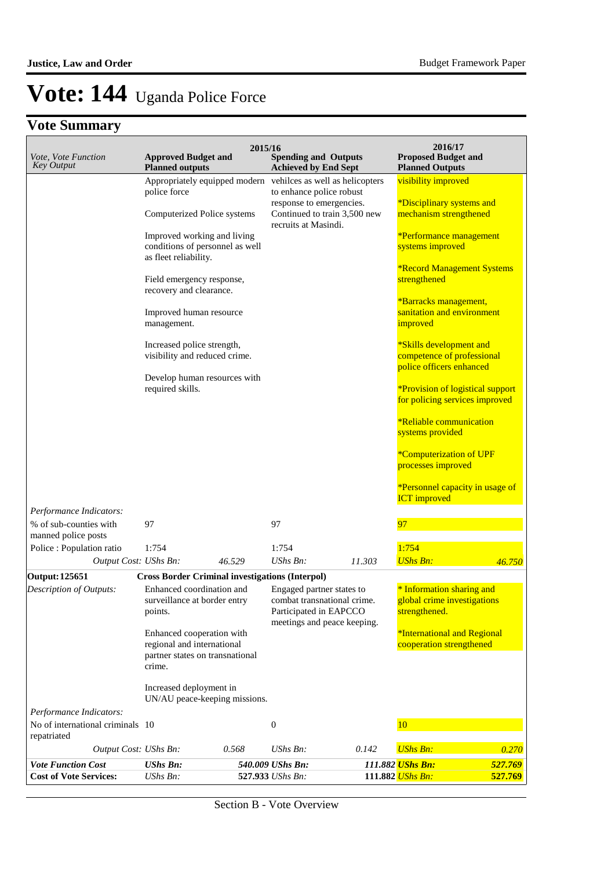| Vote, Vote Function<br><b>Key Output</b>        | <b>Approved Budget and</b>                                                                                                                                                                                                                                                                                                                                                                                             | 2015/16 | <b>Spending and Outputs</b>                                                                                       |                                                                 | 2016/17<br><b>Proposed Budget and</b>                                                                                                                                                                                                                                                                                                                                                                                                                                                                                                                              |         |
|-------------------------------------------------|------------------------------------------------------------------------------------------------------------------------------------------------------------------------------------------------------------------------------------------------------------------------------------------------------------------------------------------------------------------------------------------------------------------------|---------|-------------------------------------------------------------------------------------------------------------------|-----------------------------------------------------------------|--------------------------------------------------------------------------------------------------------------------------------------------------------------------------------------------------------------------------------------------------------------------------------------------------------------------------------------------------------------------------------------------------------------------------------------------------------------------------------------------------------------------------------------------------------------------|---------|
|                                                 | <b>Planned outputs</b><br>Appropriately equipped modern<br>police force<br>Computerized Police systems<br>Improved working and living<br>conditions of personnel as well<br>as fleet reliability.<br>Field emergency response,<br>recovery and clearance.<br>Improved human resource<br>management.<br>Increased police strength,<br>visibility and reduced crime.<br>Develop human resources with<br>required skills. |         | <b>Achieved by End Sept</b><br>to enhance police robust<br>response to emergencies.<br>recruits at Masindi.       | vehilces as well as helicopters<br>Continued to train 3,500 new | <b>Planned Outputs</b><br>visibility improved<br><i>*Disciplinary systems and</i><br>mechanism strengthened<br>*Performance management<br>systems improved<br><b>*Record Management Systems</b><br>strengthened<br>*Barracks management,<br>sanitation and environment<br>improved<br>*Skills development and<br>competence of professional<br>police officers enhanced<br><i>*Provision of logistical support</i><br>for policing services improved<br><i><b>*Reliable communication</b></i><br>systems provided<br>*Computerization of UPF<br>processes improved |         |
| Performance Indicators:                         |                                                                                                                                                                                                                                                                                                                                                                                                                        |         |                                                                                                                   |                                                                 | *Personnel capacity in usage of<br><b>ICT</b> improved                                                                                                                                                                                                                                                                                                                                                                                                                                                                                                             |         |
| % of sub-counties with<br>manned police posts   | 97                                                                                                                                                                                                                                                                                                                                                                                                                     |         | 97                                                                                                                |                                                                 | 97                                                                                                                                                                                                                                                                                                                                                                                                                                                                                                                                                                 |         |
| Police : Population ratio                       | 1:754                                                                                                                                                                                                                                                                                                                                                                                                                  |         | 1:754                                                                                                             |                                                                 | 1:754                                                                                                                                                                                                                                                                                                                                                                                                                                                                                                                                                              |         |
| Output Cost: UShs Bn:                           |                                                                                                                                                                                                                                                                                                                                                                                                                        | 46.529  | UShs Bn:                                                                                                          | 11.303                                                          | <b>UShs Bn:</b>                                                                                                                                                                                                                                                                                                                                                                                                                                                                                                                                                    | 46.750  |
| <b>Output: 125651</b>                           | <b>Cross Border Criminal investigations (Interpol)</b>                                                                                                                                                                                                                                                                                                                                                                 |         |                                                                                                                   |                                                                 |                                                                                                                                                                                                                                                                                                                                                                                                                                                                                                                                                                    |         |
| Description of Outputs:                         | Enhanced coordination and<br>surveillance at border entry<br>points.<br>Enhanced cooperation with<br>regional and international<br>partner states on transnational<br>crime.                                                                                                                                                                                                                                           |         | Engaged partner states to<br>combat transnational crime.<br>Participated in EAPCCO<br>meetings and peace keeping. |                                                                 | * Information sharing and<br>global crime investigations<br>strengthened.<br>*International and Regional<br>cooperation strengthened                                                                                                                                                                                                                                                                                                                                                                                                                               |         |
| Performance Indicators:                         | Increased deployment in<br>UN/AU peace-keeping missions.                                                                                                                                                                                                                                                                                                                                                               |         |                                                                                                                   |                                                                 |                                                                                                                                                                                                                                                                                                                                                                                                                                                                                                                                                                    |         |
| No of international criminals 10<br>repatriated |                                                                                                                                                                                                                                                                                                                                                                                                                        |         | $\boldsymbol{0}$                                                                                                  |                                                                 | <b>10</b>                                                                                                                                                                                                                                                                                                                                                                                                                                                                                                                                                          |         |
| Output Cost: UShs Bn:                           |                                                                                                                                                                                                                                                                                                                                                                                                                        | 0.568   | $UShs Bn$ :                                                                                                       | 0.142                                                           | <b>UShs Bn:</b>                                                                                                                                                                                                                                                                                                                                                                                                                                                                                                                                                    | 0.270   |
| <b>Vote Function Cost</b>                       | <b>UShs Bn:</b>                                                                                                                                                                                                                                                                                                                                                                                                        |         | 540.009 UShs Bn:                                                                                                  |                                                                 | 111.882 UShs Bn:                                                                                                                                                                                                                                                                                                                                                                                                                                                                                                                                                   | 527.769 |
| <b>Cost of Vote Services:</b>                   | UShs Bn:                                                                                                                                                                                                                                                                                                                                                                                                               |         | 527.933 UShs Bn:                                                                                                  |                                                                 | 111.882 UShs Bn:                                                                                                                                                                                                                                                                                                                                                                                                                                                                                                                                                   | 527.769 |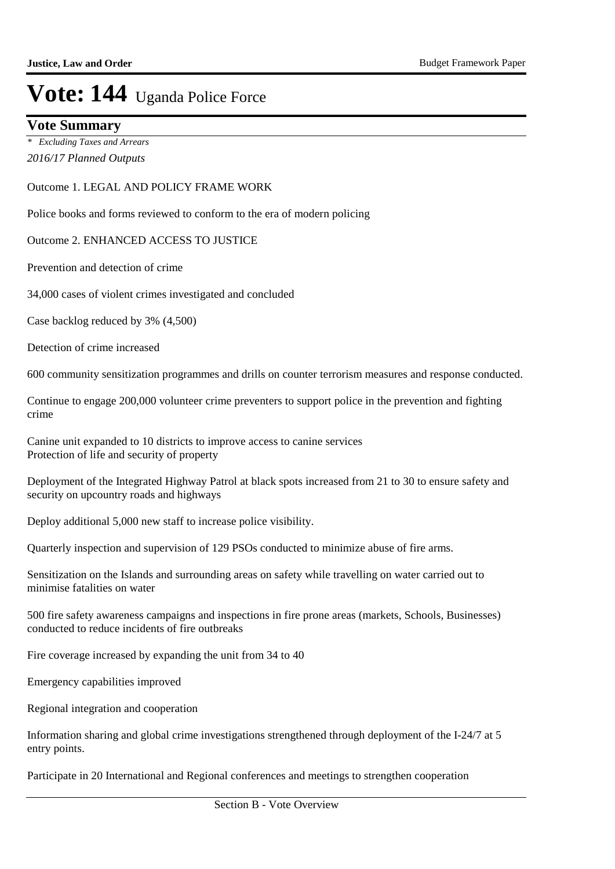### **Vote Summary**

*2016/17 Planned Outputs \* Excluding Taxes and Arrears*

#### Outcome 1. LEGAL AND POLICY FRAME WORK

Police books and forms reviewed to conform to the era of modern policing

#### Outcome 2. ENHANCED ACCESS TO JUSTICE

Prevention and detection of crime

34,000 cases of violent crimes investigated and concluded

Case backlog reduced by 3% (4,500)

Detection of crime increased

600 community sensitization programmes and drills on counter terrorism measures and response conducted.

Continue to engage 200,000 volunteer crime preventers to support police in the prevention and fighting crime

Canine unit expanded to 10 districts to improve access to canine services Protection of life and security of property

Deployment of the Integrated Highway Patrol at black spots increased from 21 to 30 to ensure safety and security on upcountry roads and highways

Deploy additional 5,000 new staff to increase police visibility.

Quarterly inspection and supervision of 129 PSOs conducted to minimize abuse of fire arms.

Sensitization on the Islands and surrounding areas on safety while travelling on water carried out to minimise fatalities on water

500 fire safety awareness campaigns and inspections in fire prone areas (markets, Schools, Businesses) conducted to reduce incidents of fire outbreaks

Fire coverage increased by expanding the unit from 34 to 40

Emergency capabilities improved

Regional integration and cooperation

Information sharing and global crime investigations strengthened through deployment of the I-24/7 at 5 entry points.

Participate in 20 International and Regional conferences and meetings to strengthen cooperation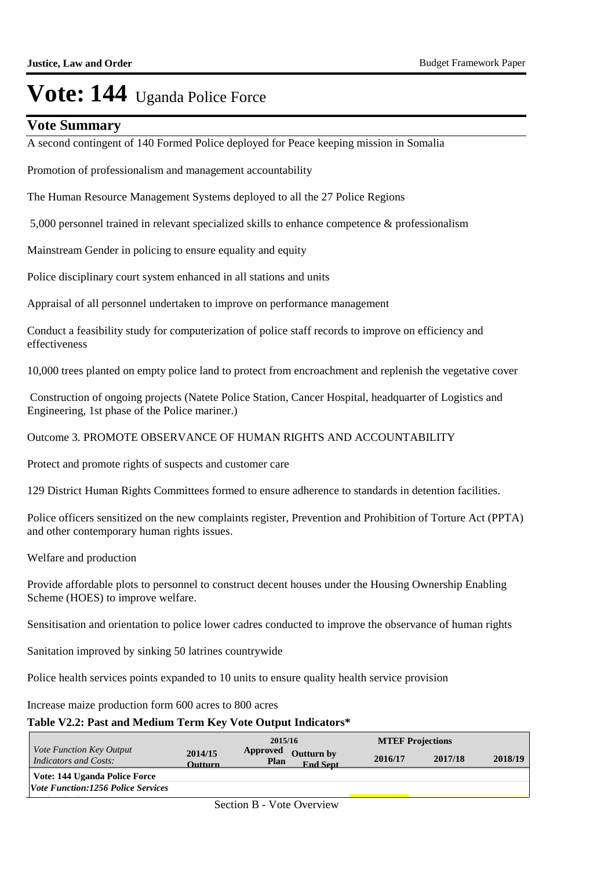### **Vote Summary**

A second contingent of 140 Formed Police deployed for Peace keeping mission in Somalia

Promotion of professionalism and management accountability

The Human Resource Management Systems deployed to all the 27 Police Regions

5,000 personnel trained in relevant specialized skills to enhance competence & professionalism

Mainstream Gender in policing to ensure equality and equity

Police disciplinary court system enhanced in all stations and units

Appraisal of all personnel undertaken to improve on performance management

Conduct a feasibility study for computerization of police staff records to improve on efficiency and effectiveness

10,000 trees planted on empty police land to protect from encroachment and replenish the vegetative cover

 Construction of ongoing projects (Natete Police Station, Cancer Hospital, headquarter of Logistics and Engineering, 1st phase of the Police mariner.)

Outcome 3. PROMOTE OBSERVANCE OF HUMAN RIGHTS AND ACCOUNTABILITY

Protect and promote rights of suspects and customer care

129 District Human Rights Committees formed to ensure adherence to standards in detention facilities.

Police officers sensitized on the new complaints register, Prevention and Prohibition of Torture Act (PPTA) and other contemporary human rights issues.

Welfare and production

Provide affordable plots to personnel to construct decent houses under the Housing Ownership Enabling Scheme (HOES) to improve welfare.

Sensitisation and orientation to police lower cadres conducted to improve the observance of human rights

Sanitation improved by sinking 50 latrines countrywide

Police health services points expanded to 10 units to ensure quality health service provision

Increase maize production form 600 acres to 800 acres

### **Table V2.2: Past and Medium Term Key Vote Output Indicators\***

|                                                                 |                           | 2015/16                   |                               | <b>MTEF Projections</b> |         |         |
|-----------------------------------------------------------------|---------------------------|---------------------------|-------------------------------|-------------------------|---------|---------|
| <i>Vote Function Key Output</i><br><b>Indicators and Costs:</b> | 2014/15<br><b>Outturn</b> | Approved<br>Plan          | Outturn by<br><b>End Sept</b> | 2016/17                 | 2017/18 | 2018/19 |
| Vote: 144 Uganda Police Force                                   |                           |                           |                               |                         |         |         |
| <i><b>Vote Function:1256 Police Services</b></i>                |                           |                           |                               |                         |         |         |
|                                                                 |                           | Section B - Vote Overview |                               |                         |         |         |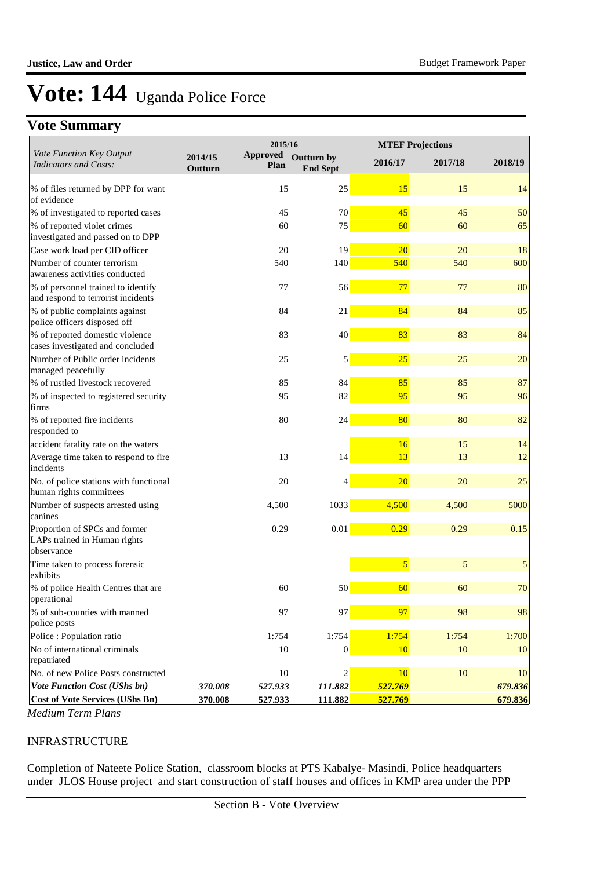## **Vote Summary**

|                                                                          |                           | 2015/16                        |                               | <b>MTEF Projections</b> |         |            |
|--------------------------------------------------------------------------|---------------------------|--------------------------------|-------------------------------|-------------------------|---------|------------|
| Vote Function Key Output<br><b>Indicators and Costs:</b>                 | 2014/15<br><b>Outturn</b> | <b>Approved</b><br><b>Plan</b> | Outturn by<br><b>End Sept</b> | 2016/17                 | 2017/18 | 2018/19    |
|                                                                          |                           |                                |                               |                         |         |            |
| % of files returned by DPP for want<br>of evidence                       |                           | 15                             | 25                            | 15                      | 15      | 14         |
| % of investigated to reported cases                                      |                           | 45                             | 70                            | 45                      | 45      | 50         |
| % of reported violet crimes                                              |                           | 60                             | 75                            | 60                      | 60      | 65         |
| investigated and passed on to DPP                                        |                           |                                |                               |                         |         |            |
| Case work load per CID officer                                           |                           | 20                             | 19                            | 20                      | 20      | 18         |
| Number of counter terrorism<br>awareness activities conducted            |                           | 540                            | 140                           | 540                     | 540     | 600        |
| % of personnel trained to identify<br>and respond to terrorist incidents |                           | 77                             | 56                            | 77                      | 77      | 80         |
| % of public complaints against<br>police officers disposed off           |                           | 84                             | 21                            | 84                      | 84      | 85         |
| % of reported domestic violence<br>cases investigated and concluded      |                           | 83                             | 40                            | 83                      | 83      | 84         |
| Number of Public order incidents<br>managed peacefully                   |                           | 25                             | 5                             | 25                      | 25      | 20         |
| % of rustled livestock recovered                                         |                           | 85                             | 84                            | 85                      | 85      | 87         |
| % of inspected to registered security<br>firms                           |                           | 95                             | 82                            | 95                      | 95      | 96         |
| % of reported fire incidents<br>responded to                             |                           | 80                             | 24                            | 80                      | 80      | 82         |
| accident fatality rate on the waters                                     |                           |                                |                               | 16                      | 15      | 14         |
| Average time taken to respond to fire<br>incidents                       |                           | 13                             | 14                            | 13                      | 13      | 12         |
| No. of police stations with functional<br>human rights committees        |                           | 20                             | 4                             | 20                      | 20      | $25\,$     |
| Number of suspects arrested using<br>canines                             |                           | 4,500                          | 1033                          | 4,500                   | 4,500   | 5000       |
| Proportion of SPCs and former<br>LAPs trained in Human rights            |                           | 0.29                           | $0.01\,$                      | 0.29                    | 0.29    | 0.15       |
| observance                                                               |                           |                                |                               |                         |         |            |
| Time taken to process forensic<br>exhibits                               |                           |                                |                               | $\overline{5}$          | 5       | $\sqrt{5}$ |
| % of police Health Centres that are<br>operational                       |                           | 60                             | 50                            | 60                      | 60      | $70\,$     |
| % of sub-counties with manned<br>police posts                            |                           | 97                             | 97                            | 97                      | 98      | 98         |
| Police : Population ratio                                                |                           | 1:754                          | 1:754                         | 1:754                   | 1:754   | 1:700      |
| No of international criminals<br>repatriated                             |                           | 10                             | $\overline{0}$                | <b>10</b>               | 10      | 10         |
| No. of new Police Posts constructed                                      |                           | 10                             | $\overline{c}$                | <b>10</b>               | 10      | 10         |
| Vote Function Cost (UShs bn)                                             | 370.008                   | 527.933                        | 111.882                       | 527.769                 |         | 679.836    |
| <b>Cost of Vote Services (UShs Bn)</b>                                   | 370.008                   | 527.933                        | 111.882                       | 527.769                 |         | 679.836    |

*Medium Term Plans*

#### INFRASTRUCTURE

Completion of Nateete Police Station, classroom blocks at PTS Kabalye- Masindi, Police headquarters under JLOS House project and start construction of staff houses and offices in KMP area under the PPP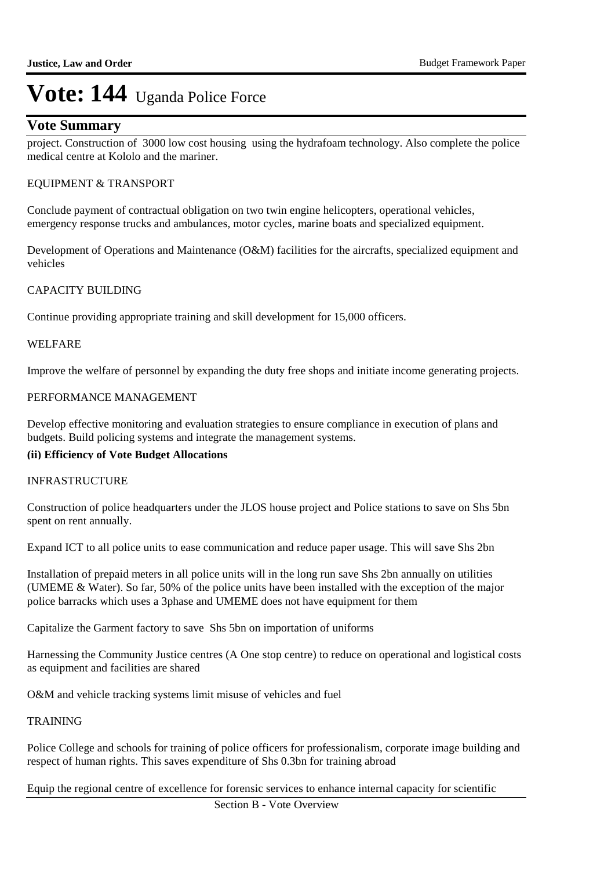### **Vote Summary**

project. Construction of 3000 low cost housing using the hydrafoam technology. Also complete the police medical centre at Kololo and the mariner.

#### EQUIPMENT & TRANSPORT

Conclude payment of contractual obligation on two twin engine helicopters, operational vehicles, emergency response trucks and ambulances, motor cycles, marine boats and specialized equipment.

Development of Operations and Maintenance (O&M) facilities for the aircrafts, specialized equipment and vehicles

#### CAPACITY BUILDING

Continue providing appropriate training and skill development for 15,000 officers.

#### WELFARE

Improve the welfare of personnel by expanding the duty free shops and initiate income generating projects.

#### PERFORMANCE MANAGEMENT

Develop effective monitoring and evaluation strategies to ensure compliance in execution of plans and budgets. Build policing systems and integrate the management systems.

#### **(ii) Efficiency of Vote Budget Allocations**

#### INFRASTRUCTURE

Construction of police headquarters under the JLOS house project and Police stations to save on Shs 5bn spent on rent annually.

Expand ICT to all police units to ease communication and reduce paper usage. This will save Shs 2bn

Installation of prepaid meters in all police units will in the long run save Shs 2bn annually on utilities (UMEME & Water). So far, 50% of the police units have been installed with the exception of the major police barracks which uses a 3phase and UMEME does not have equipment for them

Capitalize the Garment factory to save Shs 5bn on importation of uniforms

Harnessing the Community Justice centres (A One stop centre) to reduce on operational and logistical costs as equipment and facilities are shared

O&M and vehicle tracking systems limit misuse of vehicles and fuel

#### TRAINING

Police College and schools for training of police officers for professionalism, corporate image building and respect of human rights. This saves expenditure of Shs 0.3bn for training abroad

Equip the regional centre of excellence for forensic services to enhance internal capacity for scientific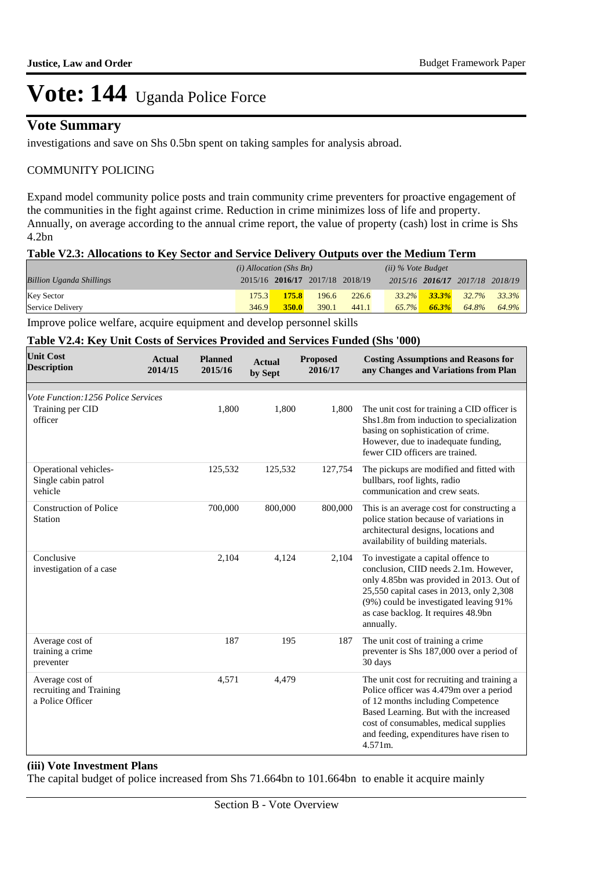### **Vote Summary**

investigations and save on Shs 0.5bn spent on taking samples for analysis abroad.

### COMMUNITY POLICING

Expand model community police posts and train community crime preventers for proactive engagement of the communities in the fight against crime. Reduction in crime minimizes loss of life and property. Annually, on average according to the annual crime report, the value of property (cash) lost in crime is Shs 4.2bn

#### **Table V2.3: Allocations to Key Sector and Service Delivery Outputs over the Medium Term**

|                                 | $(i)$ Allocation (Shs Bn) |              |                                 | (ii) % Vote Budget |       |          |                                 |                                     |
|---------------------------------|---------------------------|--------------|---------------------------------|--------------------|-------|----------|---------------------------------|-------------------------------------|
| <b>Billion Uganda Shillings</b> |                           |              | 2015/16 2016/17 2017/18 2018/19 |                    |       |          | 2015/16 2016/17 2017/18 2018/19 |                                     |
| <b>Key Sector</b>               | 175.3                     | 175.8        | 196.6                           | 226.6              |       |          |                                 | $33.2\%$ $33.3\%$ $32.7\%$ $33.3\%$ |
| Service Delivery                | 346.9                     | <b>350.0</b> | 390.1                           | 441.1              | 65.7% | $66.3\%$ | 64.8%                           | 64.9%                               |

Improve police welfare, acquire equipment and develop personnel skills

#### **Table V2.4: Key Unit Costs of Services Provided and Services Funded (Shs '000)**

| <b>Unit Cost</b><br><b>Description</b>                             | Actual<br>2014/15 | <b>Planned</b><br>2015/16 | <b>Actual</b><br>by Sept | <b>Proposed</b><br>2016/17 | <b>Costing Assumptions and Reasons for</b><br>any Changes and Variations from Plan                                                                                                                                                                                   |
|--------------------------------------------------------------------|-------------------|---------------------------|--------------------------|----------------------------|----------------------------------------------------------------------------------------------------------------------------------------------------------------------------------------------------------------------------------------------------------------------|
|                                                                    |                   |                           |                          |                            |                                                                                                                                                                                                                                                                      |
| Vote Function: 1256 Police Services<br>Training per CID<br>officer |                   | 1,800                     | 1,800                    | 1,800                      | The unit cost for training a CID officer is<br>Shs1.8m from induction to specialization<br>basing on sophistication of crime.<br>However, due to inadequate funding,<br>fewer CID officers are trained.                                                              |
| Operational vehicles-<br>Single cabin patrol<br>vehicle            |                   | 125,532                   | 125,532                  | 127,754                    | The pickups are modified and fitted with<br>bullbars, roof lights, radio<br>communication and crew seats.                                                                                                                                                            |
| Construction of Police<br><b>Station</b>                           |                   | 700,000                   | 800,000                  | 800,000                    | This is an average cost for constructing a<br>police station because of variations in<br>architectural designs, locations and<br>availability of building materials.                                                                                                 |
| Conclusive<br>investigation of a case                              |                   | 2,104                     | 4,124                    | 2,104                      | To investigate a capital offence to<br>conclusion, CIID needs 2.1m. However,<br>only 4.85bn was provided in 2013. Out of<br>25,550 capital cases in 2013, only 2,308<br>(9%) could be investigated leaving 91%<br>as case backlog. It requires 48.9bn<br>annually.   |
| Average cost of<br>training a crime<br>preventer                   |                   | 187                       | 195                      | 187                        | The unit cost of training a crime<br>preventer is Shs 187,000 over a period of<br>30 days                                                                                                                                                                            |
| Average cost of<br>recruiting and Training<br>a Police Officer     |                   | 4,571                     | 4,479                    |                            | The unit cost for recruiting and training a<br>Police officer was 4.479m over a period<br>of 12 months including Competence<br>Based Learning. But with the increased<br>cost of consumables, medical supplies<br>and feeding, expenditures have risen to<br>4.571m. |

#### **(iii) Vote Investment Plans**

The capital budget of police increased from Shs 71.664bn to 101.664bn to enable it acquire mainly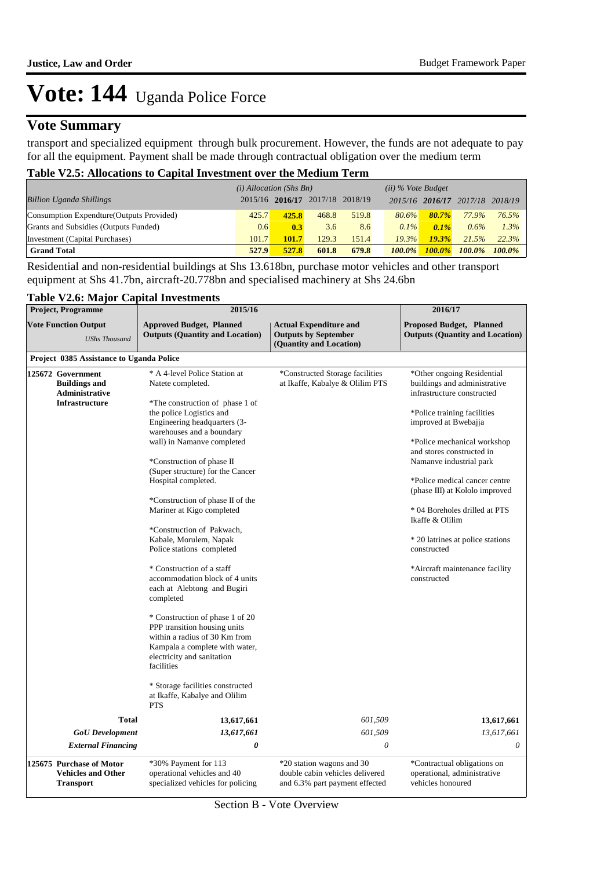## **Vote Summary**

transport and specialized equipment through bulk procurement. However, the funds are not adequate to pay for all the equipment. Payment shall be made through contractual obligation over the medium term

#### **Table V2.5: Allocations to Capital Investment over the Medium Term**

|                                           | $(i)$ Allocation (Shs Bn) |       |                                 |       | $(ii)$ % Vote Budget |           |                                 |           |
|-------------------------------------------|---------------------------|-------|---------------------------------|-------|----------------------|-----------|---------------------------------|-----------|
| <b>Billion Uganda Shillings</b>           |                           |       | 2015/16 2016/17 2017/18 2018/19 |       |                      |           | 2015/16 2016/17 2017/18 2018/19 |           |
| Consumption Expendture (Outputs Provided) | 425.7                     | 425.8 | 468.8                           | 519.8 | $80.6\%$             | $80.7\%$  | 77.9%                           | 76.5%     |
| Grants and Subsidies (Outputs Funded)     | 0.6                       | 0.3   | 3.6                             | 8.6   | $0.1\%$              | $0.1\%$   | 0.6%                            | 1.3%      |
| Investment (Capital Purchases)            | 101.7                     | 101.7 | 129.3                           | 151.4 | 19.3%                | 19.3%     | 21.5%                           | 22.3%     |
| <b>Grand Total</b>                        | 527.9                     | 527.8 | 601.8                           | 679.8 | $100.0\%$            | $100.0\%$ | 100.0%                          | $100.0\%$ |

Residential and non-residential buildings at Shs 13.618bn, purchase motor vehicles and other transport equipment at Shs 41.7bn, aircraft-20.778bn and specialised machinery at Shs 24.6bn

### **Table V2.6: Major Capital Investments**

| $1400 \times 200$<br><b>Project, Programme</b>                                       | ANA INTERNATION<br>2015/16                                                                                                                                                     |                                                                                                | 2016/17                                                                                                                                         |  |  |
|--------------------------------------------------------------------------------------|--------------------------------------------------------------------------------------------------------------------------------------------------------------------------------|------------------------------------------------------------------------------------------------|-------------------------------------------------------------------------------------------------------------------------------------------------|--|--|
| <b>Vote Function Output</b><br><b>UShs Thousand</b>                                  | <b>Approved Budget, Planned</b><br><b>Outputs (Quantity and Location)</b>                                                                                                      | <b>Actual Expenditure and</b><br><b>Outputs by September</b><br>(Quantity and Location)        | Proposed Budget, Planned<br><b>Outputs (Quantity and Location)</b>                                                                              |  |  |
| Project 0385 Assistance to Uganda Police                                             |                                                                                                                                                                                |                                                                                                |                                                                                                                                                 |  |  |
| 125672 Government<br><b>Buildings and</b><br>Administrative<br><b>Infrastructure</b> | * A 4-level Police Station at<br>Natete completed.<br>*The construction of phase 1 of<br>the police Logistics and<br>Engineering headquarters (3-                              | *Constructed Storage facilities<br>at Ikaffe, Kabalye & Olilim PTS                             | *Other ongoing Residential<br>buildings and administrative<br>infrastructure constructed<br>*Police training facilities<br>improved at Bwebajja |  |  |
|                                                                                      | warehouses and a boundary<br>wall) in Namanve completed<br>*Construction of phase II                                                                                           |                                                                                                | *Police mechanical workshop<br>and stores constructed in<br>Namanve industrial park                                                             |  |  |
|                                                                                      | (Super structure) for the Cancer<br>Hospital completed.<br>*Construction of phase II of the                                                                                    |                                                                                                | *Police medical cancer centre<br>(phase III) at Kololo improved                                                                                 |  |  |
|                                                                                      | Mariner at Kigo completed<br>*Construction of Pakwach,                                                                                                                         |                                                                                                | * 04 Boreholes drilled at PTS<br>Ikaffe & Olilim                                                                                                |  |  |
|                                                                                      | Kabale, Morulem, Napak<br>Police stations completed                                                                                                                            |                                                                                                | * 20 latrines at police stations<br>constructed                                                                                                 |  |  |
|                                                                                      | * Construction of a staff<br>accommodation block of 4 units<br>each at Alebtong and Bugiri<br>completed                                                                        |                                                                                                | *Aircraft maintenance facility<br>constructed                                                                                                   |  |  |
|                                                                                      | * Construction of phase 1 of 20<br>PPP transition housing units<br>within a radius of 30 Km from<br>Kampala a complete with water,<br>electricity and sanitation<br>facilities |                                                                                                |                                                                                                                                                 |  |  |
|                                                                                      | * Storage facilities constructed<br>at Ikaffe, Kabalye and Olilim<br><b>PTS</b>                                                                                                |                                                                                                |                                                                                                                                                 |  |  |
| <b>Total</b>                                                                         | 13,617,661                                                                                                                                                                     | 601,509                                                                                        | 13,617,661                                                                                                                                      |  |  |
| <b>GoU</b> Development                                                               | 13,617,661                                                                                                                                                                     | 601,509                                                                                        | 13,617,661                                                                                                                                      |  |  |
| <b>External Financing</b>                                                            | 0                                                                                                                                                                              | $\boldsymbol{\mathit{0}}$                                                                      | 0                                                                                                                                               |  |  |
| 125675 Purchase of Motor<br><b>Vehicles and Other</b><br><b>Transport</b>            | *30% Payment for 113<br>operational vehicles and 40<br>specialized vehicles for policing                                                                                       | *20 station wagons and 30<br>double cabin vehicles delivered<br>and 6.3% part payment effected | *Contractual obligations on<br>operational, administrative<br>vehicles honoured                                                                 |  |  |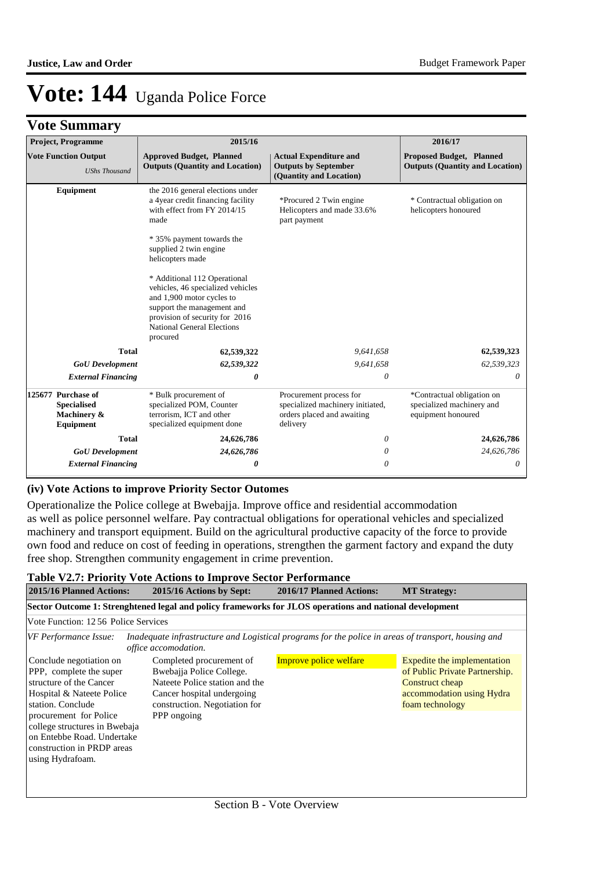| <b>Vote Summary</b> |
|---------------------|
|                     |

| <b>Project, Programme</b>                                            | 2015/16                                                                                                                                                                                                                                                                                                                                                                                                    |                                                                                                       | 2016/17                                                                       |
|----------------------------------------------------------------------|------------------------------------------------------------------------------------------------------------------------------------------------------------------------------------------------------------------------------------------------------------------------------------------------------------------------------------------------------------------------------------------------------------|-------------------------------------------------------------------------------------------------------|-------------------------------------------------------------------------------|
| <b>Vote Function Output</b><br><b>UShs Thousand</b>                  | <b>Approved Budget, Planned</b><br><b>Outputs (Quantity and Location)</b>                                                                                                                                                                                                                                                                                                                                  | <b>Actual Expenditure and</b><br><b>Outputs by September</b><br>(Quantity and Location)               | <b>Proposed Budget, Planned</b><br><b>Outputs (Quantity and Location)</b>     |
| Equipment                                                            | the 2016 general elections under<br>a 4year credit financing facility<br>with effect from FY 2014/15<br>made<br>* 35% payment towards the<br>supplied 2 twin engine<br>helicopters made<br>* Additional 112 Operational<br>vehicles, 46 specialized vehicles<br>and 1,900 motor cycles to<br>support the management and<br>provision of security for 2016<br><b>National General Elections</b><br>procured | *Procured 2 Twin engine<br>Helicopters and made 33.6%<br>part payment                                 | * Contractual obligation on<br>helicopters honoured                           |
| <b>Total</b>                                                         | 62,539,322                                                                                                                                                                                                                                                                                                                                                                                                 | 9,641,658                                                                                             | 62,539,323                                                                    |
| <b>GoU</b> Development                                               | 62,539,322                                                                                                                                                                                                                                                                                                                                                                                                 | 9,641,658                                                                                             | 62,539,323                                                                    |
| <b>External Financing</b>                                            | 0                                                                                                                                                                                                                                                                                                                                                                                                          | 0                                                                                                     | 0                                                                             |
| 125677 Purchase of<br><b>Specialised</b><br>Machinery &<br>Equipment | * Bulk procurement of<br>specialized POM, Counter<br>terrorism, ICT and other<br>specialized equipment done                                                                                                                                                                                                                                                                                                | Procurement process for<br>specialized machinery initiated,<br>orders placed and awaiting<br>delivery | *Contractual obligation on<br>specialized machinery and<br>equipment honoured |
| <b>Total</b>                                                         | 24,626,786                                                                                                                                                                                                                                                                                                                                                                                                 | 0                                                                                                     | 24,626,786                                                                    |
| <b>GoU</b> Development                                               | 24,626,786                                                                                                                                                                                                                                                                                                                                                                                                 | 0                                                                                                     | 24,626,786                                                                    |
| <b>External Financing</b>                                            | 0                                                                                                                                                                                                                                                                                                                                                                                                          | 0                                                                                                     | $\theta$                                                                      |

#### **(iv) Vote Actions to improve Priority Sector Outomes**

Operationalize the Police college at Bwebajja. Improve office and residential accommodation as well as police personnel welfare. Pay contractual obligations for operational vehicles and specialized machinery and transport equipment. Build on the agricultural productive capacity of the force to provide own food and reduce on cost of feeding in operations, strengthen the garment factory and expand the duty free shop. Strengthen community engagement in crime prevention.

#### **Table V2.7: Priority Vote Actions to Improve Sector Performance 2015/16 Planned Actions: 2015/16 Actions by Sept: 2016/17 Planned Actions: MT Strategy: Sector Outcome 1: Strenghtened legal and policy frameworks for JLOS operations and national development** Vote Function: 12 56 Police Services *VF Performance Issue: Inadequate infrastructure and Logistical programs for the police in areas of transport, housing and office accomodation.* Conclude negotiation on PPP, complete the super structure of the Cancer Hospital & Nateete Police station. Conclude procurement for Police college structures in Bwebaja on Entebbe Road. Undertake construction in PRDP areas using Hydrafoam. Improve police welfare **Expedite** Expedite the implementation of Public Private Partnership. Construct cheap accommodation using Hydra foam technology Completed procurement of Bwebajja Police College. Nateete Police station and the Cancer hospital undergoing construction. Negotiation for PPP ongoing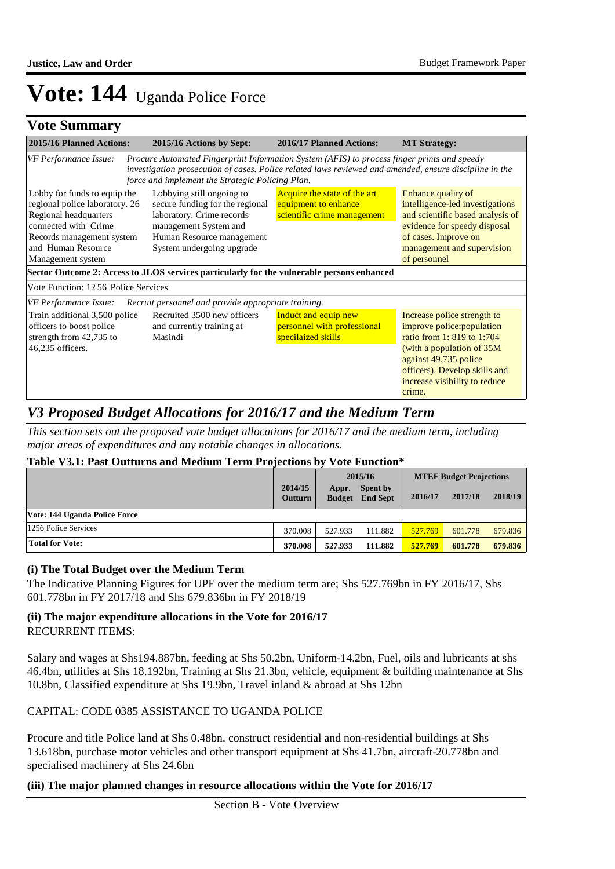## **Vote Summary**

| 2015/16 Planned Actions:                                                                                                                                                                                                                                                                                                                                                | 2015/16 Actions by Sept:                                                                                                                                                                                                                                  | 2016/17 Planned Actions:                                                            | <b>MT Strategy:</b>                                                                                                                                                                                                        |
|-------------------------------------------------------------------------------------------------------------------------------------------------------------------------------------------------------------------------------------------------------------------------------------------------------------------------------------------------------------------------|-----------------------------------------------------------------------------------------------------------------------------------------------------------------------------------------------------------------------------------------------------------|-------------------------------------------------------------------------------------|----------------------------------------------------------------------------------------------------------------------------------------------------------------------------------------------------------------------------|
| VF Performance Issue:                                                                                                                                                                                                                                                                                                                                                   | Procure Automated Fingerprint Information System (AFIS) to process finger prints and speedy<br>investigation prosecution of cases. Police related laws reviewed and amended, ensure discipline in the<br>force and implement the Strategic Policing Plan. |                                                                                     |                                                                                                                                                                                                                            |
| Lobby for funds to equip the<br>Lobbying still ongoing to<br>regional police laboratory. 26<br>secure funding for the regional<br>laboratory. Crime records<br>Regional headquarters<br>connected with Crime<br>management System and<br>Human Resource management<br>Records management system<br>and Human Resource<br>System undergoing upgrade<br>Management system |                                                                                                                                                                                                                                                           | Acquire the state of the art<br>equipment to enhance<br>scientific crime management | Enhance quality of<br>intelligence-led investigations<br>and scientific based analysis of<br>evidence for speedy disposal<br>of cases. Improve on<br>management and supervision<br>of personnel                            |
|                                                                                                                                                                                                                                                                                                                                                                         | Sector Outcome 2: Access to JLOS services particularly for the vulnerable persons enhanced                                                                                                                                                                |                                                                                     |                                                                                                                                                                                                                            |
| Vote Function: 12.56 Police Services                                                                                                                                                                                                                                                                                                                                    |                                                                                                                                                                                                                                                           |                                                                                     |                                                                                                                                                                                                                            |
| VF Performance Issue:                                                                                                                                                                                                                                                                                                                                                   | Recruit personnel and provide appropriate training.                                                                                                                                                                                                       |                                                                                     |                                                                                                                                                                                                                            |
| Train additional 3,500 police<br>officers to boost police<br>strength from 42,735 to<br>46,235 officers.                                                                                                                                                                                                                                                                | Recruited 3500 new officers<br>and currently training at<br>Masindi                                                                                                                                                                                       | Induct and equip new<br>personnel with professional<br>specilaized skills           | Increase police strength to<br>improve police: population<br>ratio from 1: 819 to 1:704<br>(with a population of 35M)<br>against 49,735 police<br>officers). Develop skills and<br>increase visibility to reduce<br>crime. |

### *V3 Proposed Budget Allocations for 2016/17 and the Medium Term*

*This section sets out the proposed vote budget allocations for 2016/17 and the medium term, including major areas of expenditures and any notable changes in allocations.* 

#### **Table V3.1: Past Outturns and Medium Term Projections by Vote Function\***

| Table voili Tabl Outturns and inculant Term I rejections by voic I anchon |                           |                        |                                |         |         |         |
|---------------------------------------------------------------------------|---------------------------|------------------------|--------------------------------|---------|---------|---------|
|                                                                           | 2015/16                   |                        | <b>MTEF Budget Projections</b> |         |         |         |
|                                                                           | 2014/15<br><b>Outturn</b> | Appr.<br><b>Budget</b> | Spent by<br><b>End Sept</b>    | 2016/17 | 2017/18 | 2018/19 |
| Vote: 144 Uganda Police Force                                             |                           |                        |                                |         |         |         |
| 1256 Police Services                                                      | 370.008                   | 527.933                | 111.882                        | 527.769 | 601.778 | 679.836 |
| <b>Total for Vote:</b>                                                    | 370.008                   | 527.933                | 111.882                        | 527.769 | 601.778 | 679.836 |

#### **(i) The Total Budget over the Medium Term**

The Indicative Planning Figures for UPF over the medium term are; Shs 527.769bn in FY 2016/17, Shs 601.778bn in FY 2017/18 and Shs 679.836bn in FY 2018/19

#### **(ii) The major expenditure allocations in the Vote for 2016/17** RECURRENT ITEMS:

Salary and wages at Shs194.887bn, feeding at Shs 50.2bn, Uniform-14.2bn, Fuel, oils and lubricants at shs 46.4bn, utilities at Shs 18.192bn, Training at Shs 21.3bn, vehicle, equipment & building maintenance at Shs 10.8bn, Classified expenditure at Shs 19.9bn, Travel inland & abroad at Shs 12bn

#### CAPITAL: CODE 0385 ASSISTANCE TO UGANDA POLICE

Procure and title Police land at Shs 0.48bn, construct residential and non-residential buildings at Shs 13.618bn, purchase motor vehicles and other transport equipment at Shs 41.7bn, aircraft-20.778bn and specialised machinery at Shs 24.6bn

#### **(iii) The major planned changes in resource allocations within the Vote for 2016/17**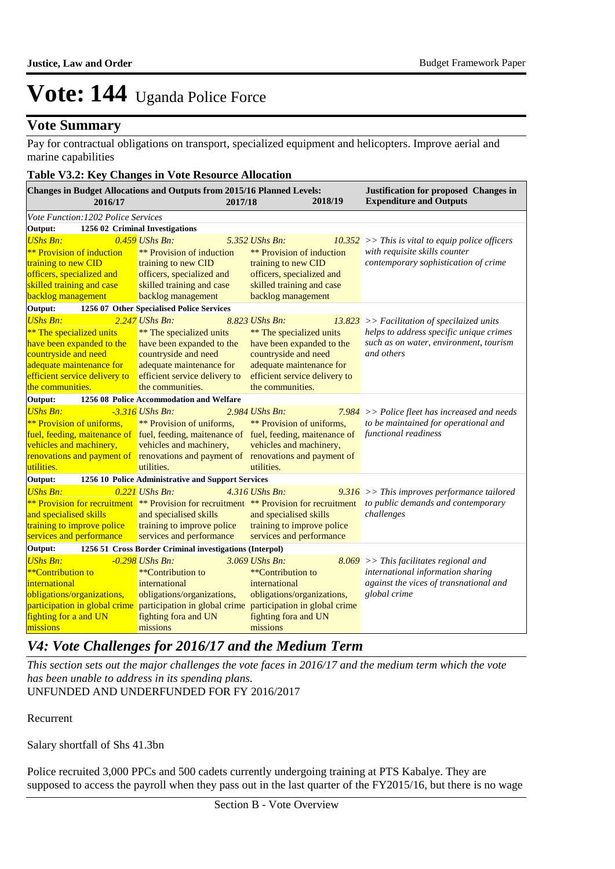### **Vote Summary**

Pay for contractual obligations on transport, specialized equipment and helicopters. Improve aerial and marine capabilities

#### **Table V3.2: Key Changes in Vote Resource Allocation**

| <b>Changes in Budget Allocations and Outputs from 2015/16 Planned Levels:</b><br>2016/17 | 2017/18                                                 | 2018/19                                                                                                                    | <b>Justification for proposed Changes in</b><br><b>Expenditure and Outputs</b>          |
|------------------------------------------------------------------------------------------|---------------------------------------------------------|----------------------------------------------------------------------------------------------------------------------------|-----------------------------------------------------------------------------------------|
| Vote Function: 1202 Police Services                                                      |                                                         |                                                                                                                            |                                                                                         |
| Output:                                                                                  | 1256 02 Criminal Investigations                         |                                                                                                                            |                                                                                         |
| <b>UShs Bn:</b>                                                                          | 0.459 UShs Bn:                                          | 5.352 UShs Bn:                                                                                                             | $10.352$ >> This is vital to equip police officers                                      |
| <b>**</b> Provision of induction                                                         | <b>** Provision of induction</b>                        | <b>** Provision of induction</b>                                                                                           | with requisite skills counter                                                           |
| training to new CID                                                                      | training to new CID                                     | training to new CID                                                                                                        | contemporary sophistication of crime                                                    |
| officers, specialized and                                                                | officers, specialized and                               | officers, specialized and                                                                                                  |                                                                                         |
| skilled training and case                                                                | skilled training and case                               | skilled training and case                                                                                                  |                                                                                         |
| backlog management                                                                       | backlog management                                      | backlog management                                                                                                         |                                                                                         |
| Output:                                                                                  | 1256 07 Other Specialised Police Services               |                                                                                                                            |                                                                                         |
| <b>UShs Bn:</b>                                                                          | $2.247$ UShs Bn:                                        | 8.823 UShs Bn:                                                                                                             | $13.823$ >> Facilitation of specilaized units                                           |
| <b>**</b> The specialized units                                                          | ** The specialized units                                | ** The specialized units                                                                                                   | helps to address specific unique crimes                                                 |
| have been expanded to the                                                                | have been expanded to the                               | have been expanded to the                                                                                                  | such as on water, environment, tourism                                                  |
| countryside and need                                                                     | countryside and need                                    | countryside and need                                                                                                       | and others                                                                              |
| adequate maintenance for                                                                 | adequate maintenance for                                | adequate maintenance for                                                                                                   |                                                                                         |
| efficient service delivery to                                                            | efficient service delivery to<br>the communities.       | efficient service delivery to<br>the communities.                                                                          |                                                                                         |
| the communities.                                                                         |                                                         |                                                                                                                            |                                                                                         |
| Output:                                                                                  | 1256 08 Police Accommodation and Welfare                |                                                                                                                            |                                                                                         |
| <b>UShs Bn:</b>                                                                          | $-3.316$ UShs Bn:                                       | 2.984 UShs Bn:                                                                                                             | $7.984$ >> Police fleet has increased and needs<br>to be maintained for operational and |
| <b>**</b> Provision of uniforms,                                                         | <b>**</b> Provision of uniforms,                        | <b>**</b> Provision of uniforms.<br>fuel, feeding, maitenance of fuel, feeding, maitenance of fuel, feeding, maitenance of | functional readiness                                                                    |
| vehicles and machinery,                                                                  | vehicles and machinery,                                 | vehicles and machinery,                                                                                                    |                                                                                         |
|                                                                                          |                                                         | renovations and payment of renovations and payment of renovations and payment of                                           |                                                                                         |
| utilities.                                                                               | utilities.                                              | utilities.                                                                                                                 |                                                                                         |
| Output:                                                                                  | 1256 10 Police Administrative and Support Services      |                                                                                                                            |                                                                                         |
| <b>UShs Bn:</b>                                                                          | $0.221$ UShs Bn:                                        | 4.316 UShs Bn:                                                                                                             | $9.316$ >> This improves performance tailored                                           |
|                                                                                          |                                                         | ** Provision for recruitment ** Provision for recruitment ** Provision for recruitment                                     | to public demands and contemporary                                                      |
| and specialised skills                                                                   | and specialised skills                                  | and specialised skills                                                                                                     | challenges                                                                              |
| training to improve police                                                               | training to improve police                              | training to improve police                                                                                                 |                                                                                         |
| services and performance                                                                 | services and performance                                | services and performance                                                                                                   |                                                                                         |
| Output:                                                                                  | 1256 51 Cross Border Criminal investigations (Interpol) |                                                                                                                            |                                                                                         |
| <b>UShs Bn:</b>                                                                          | $-0.298$ UShs Bn:                                       | $3.069$ UShs Bn:                                                                                                           | $8.069$ >> This facilitates regional and                                                |
| $*$ <sup>*</sup> Contribution to                                                         | **Contribution to                                       | **Contribution to                                                                                                          | international information sharing                                                       |
| international                                                                            | international                                           | international                                                                                                              | against the vices of transnational and                                                  |
| obligations/organizations,                                                               | obligations/organizations,                              | obligations/organizations,                                                                                                 | global crime                                                                            |
| participation in global crime participation in global crime                              |                                                         | participation in global crime                                                                                              |                                                                                         |
| fighting for a and UN                                                                    | fighting fora and UN                                    | fighting fora and UN                                                                                                       |                                                                                         |
| missions                                                                                 | missions                                                | missions                                                                                                                   |                                                                                         |

## *V4: Vote Challenges for 2016/17 and the Medium Term*

UNFUNDED AND UNDERFUNDED FOR FY 2016/2017 *This section sets out the major challenges the vote faces in 2016/17 and the medium term which the vote has been unable to address in its spending plans.*

Recurrent

Salary shortfall of Shs 41.3bn

Police recruited 3,000 PPCs and 500 cadets currently undergoing training at PTS Kabalye. They are supposed to access the payroll when they pass out in the last quarter of the FY2015/16, but there is no wage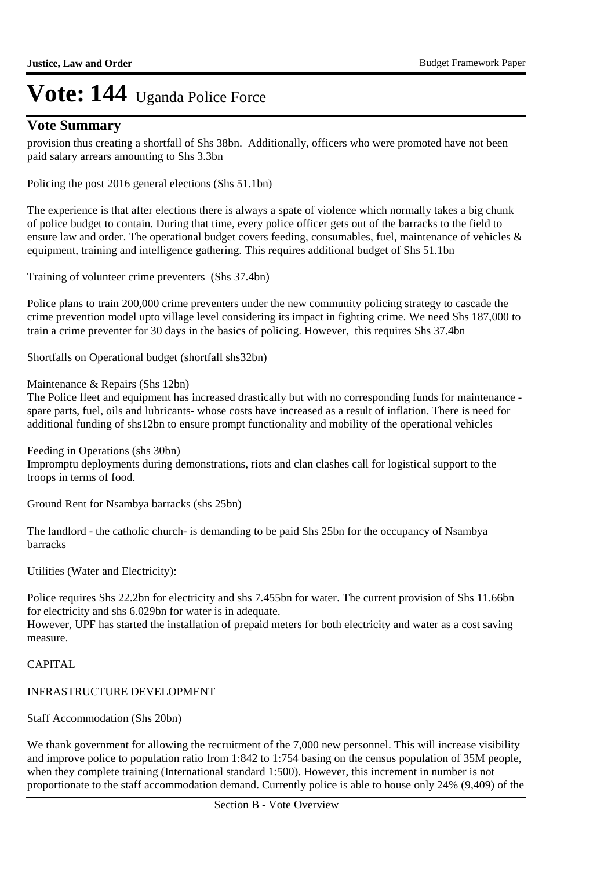### **Vote Summary**

provision thus creating a shortfall of Shs 38bn. Additionally, officers who were promoted have not been paid salary arrears amounting to Shs 3.3bn

Policing the post 2016 general elections (Shs 51.1bn)

The experience is that after elections there is always a spate of violence which normally takes a big chunk of police budget to contain. During that time, every police officer gets out of the barracks to the field to ensure law and order. The operational budget covers feeding, consumables, fuel, maintenance of vehicles & equipment, training and intelligence gathering. This requires additional budget of Shs 51.1bn

Training of volunteer crime preventers (Shs 37.4bn)

Police plans to train 200,000 crime preventers under the new community policing strategy to cascade the crime prevention model upto village level considering its impact in fighting crime. We need Shs 187,000 to train a crime preventer for 30 days in the basics of policing. However, this requires Shs 37.4bn

Shortfalls on Operational budget (shortfall shs32bn)

#### Maintenance & Repairs (Shs 12bn)

The Police fleet and equipment has increased drastically but with no corresponding funds for maintenance spare parts, fuel, oils and lubricants- whose costs have increased as a result of inflation. There is need for additional funding of shs12bn to ensure prompt functionality and mobility of the operational vehicles

Feeding in Operations (shs 30bn) Impromptu deployments during demonstrations, riots and clan clashes call for logistical support to the troops in terms of food.

Ground Rent for Nsambya barracks (shs 25bn)

The landlord - the catholic church- is demanding to be paid Shs 25bn for the occupancy of Nsambya barracks

Utilities (Water and Electricity):

Police requires Shs 22.2bn for electricity and shs 7.455bn for water. The current provision of Shs 11.66bn for electricity and shs 6.029bn for water is in adequate.

However, UPF has started the installation of prepaid meters for both electricity and water as a cost saving measure.

### CAPITAL

### INFRASTRUCTURE DEVELOPMENT

### Staff Accommodation (Shs 20bn)

We thank government for allowing the recruitment of the 7,000 new personnel. This will increase visibility and improve police to population ratio from 1:842 to 1:754 basing on the census population of 35M people, when they complete training (International standard 1:500). However, this increment in number is not proportionate to the staff accommodation demand. Currently police is able to house only 24% (9,409) of the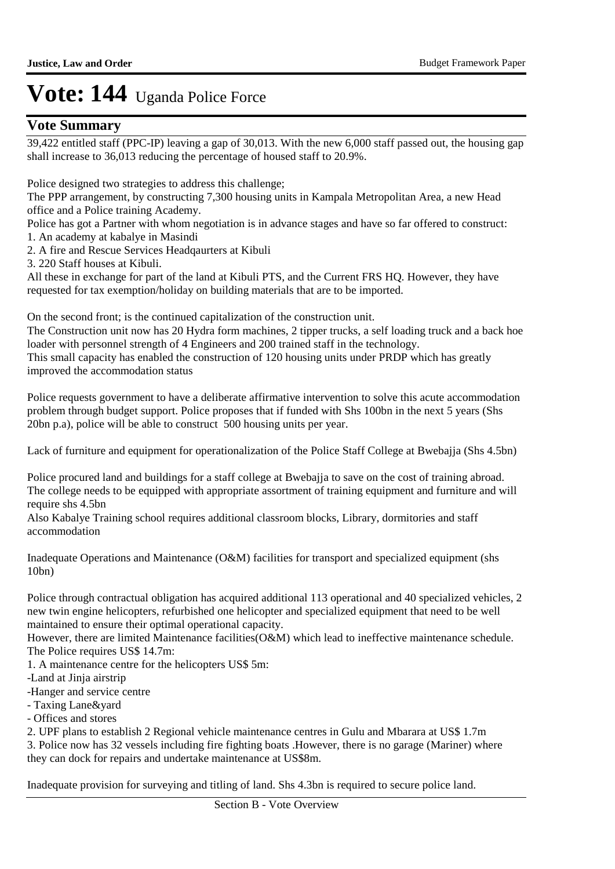### **Vote Summary**

39,422 entitled staff (PPC-IP) leaving a gap of 30,013. With the new 6,000 staff passed out, the housing gap shall increase to 36,013 reducing the percentage of housed staff to 20.9%.

Police designed two strategies to address this challenge;

The PPP arrangement, by constructing 7,300 housing units in Kampala Metropolitan Area, a new Head office and a Police training Academy.

Police has got a Partner with whom negotiation is in advance stages and have so far offered to construct: 1. An academy at kabalye in Masindi

- 
- 2. A fire and Rescue Services Headqaurters at Kibuli
- 3. 220 Staff houses at Kibuli.

All these in exchange for part of the land at Kibuli PTS, and the Current FRS HQ. However, they have requested for tax exemption/holiday on building materials that are to be imported.

On the second front; is the continued capitalization of the construction unit.

The Construction unit now has 20 Hydra form machines, 2 tipper trucks, a self loading truck and a back hoe loader with personnel strength of 4 Engineers and 200 trained staff in the technology.

This small capacity has enabled the construction of 120 housing units under PRDP which has greatly improved the accommodation status

Police requests government to have a deliberate affirmative intervention to solve this acute accommodation problem through budget support. Police proposes that if funded with Shs 100bn in the next 5 years (Shs 20bn p.a), police will be able to construct 500 housing units per year.

Lack of furniture and equipment for operationalization of the Police Staff College at Bwebajja (Shs 4.5bn)

Police procured land and buildings for a staff college at Bwebajja to save on the cost of training abroad. The college needs to be equipped with appropriate assortment of training equipment and furniture and will require shs 4.5bn

Also Kabalye Training school requires additional classroom blocks, Library, dormitories and staff accommodation

Inadequate Operations and Maintenance (O&M) facilities for transport and specialized equipment (shs 10bn)

Police through contractual obligation has acquired additional 113 operational and 40 specialized vehicles, 2 new twin engine helicopters, refurbished one helicopter and specialized equipment that need to be well maintained to ensure their optimal operational capacity.

However, there are limited Maintenance facilities(O&M) which lead to ineffective maintenance schedule. The Police requires US\$ 14.7m:

1. A maintenance centre for the helicopters US\$ 5m:

-Land at Jinja airstrip

-Hanger and service centre

- Taxing Lane&yard

- Offices and stores

2. UPF plans to establish 2 Regional vehicle maintenance centres in Gulu and Mbarara at US\$ 1.7m

3. Police now has 32 vessels including fire fighting boats .However, there is no garage (Mariner) where they can dock for repairs and undertake maintenance at US\$8m.

Inadequate provision for surveying and titling of land. Shs 4.3bn is required to secure police land.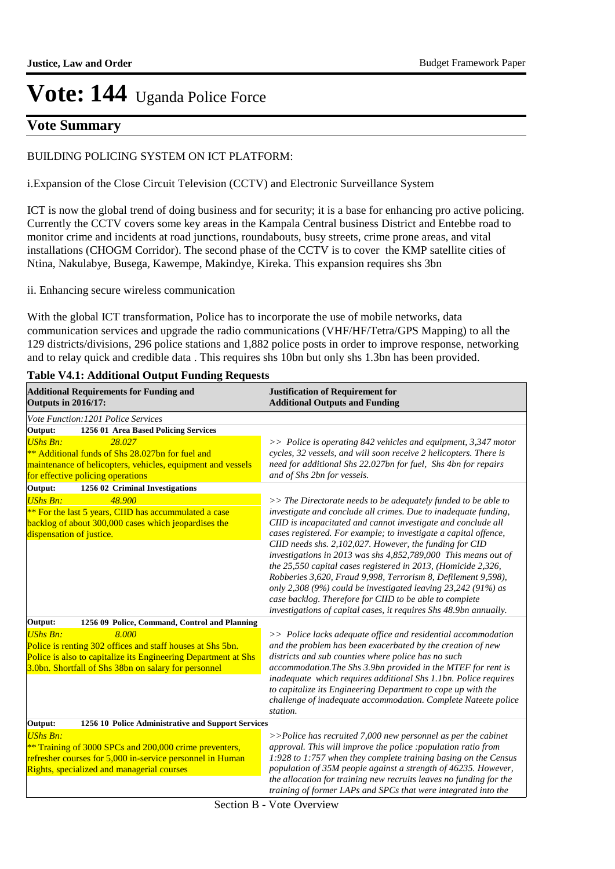## **Vote Summary**

#### BUILDING POLICING SYSTEM ON ICT PLATFORM:

i.Expansion of the Close Circuit Television (CCTV) and Electronic Surveillance System

ICT is now the global trend of doing business and for security; it is a base for enhancing pro active policing. Currently the CCTV covers some key areas in the Kampala Central business District and Entebbe road to monitor crime and incidents at road junctions, roundabouts, busy streets, crime prone areas, and vital installations (CHOGM Corridor). The second phase of the CCTV is to cover the KMP satellite cities of Ntina, Nakulabye, Busega, Kawempe, Makindye, Kireka. This expansion requires shs 3bn

ii. Enhancing secure wireless communication

With the global ICT transformation, Police has to incorporate the use of mobile networks, data communication services and upgrade the radio communications (VHF/HF/Tetra/GPS Mapping) to all the 129 districts/divisions, 296 police stations and 1,882 police posts in order to improve response, networking and to relay quick and credible data . This requires shs 10bn but only shs 1.3bn has been provided.

| <b>Additional Requirements for Funding and</b><br><b>Outputs in 2016/17:</b>                                                                                                                                     | <b>Justification of Requirement for</b><br><b>Additional Outputs and Funding</b>                                                                                                                                                                                                                                                                                                                                                                                                                                                                                                                                                                                                                                                         |
|------------------------------------------------------------------------------------------------------------------------------------------------------------------------------------------------------------------|------------------------------------------------------------------------------------------------------------------------------------------------------------------------------------------------------------------------------------------------------------------------------------------------------------------------------------------------------------------------------------------------------------------------------------------------------------------------------------------------------------------------------------------------------------------------------------------------------------------------------------------------------------------------------------------------------------------------------------------|
| Vote Function: 1201 Police Services                                                                                                                                                                              |                                                                                                                                                                                                                                                                                                                                                                                                                                                                                                                                                                                                                                                                                                                                          |
| Output:<br>1256 01 Area Based Policing Services                                                                                                                                                                  |                                                                                                                                                                                                                                                                                                                                                                                                                                                                                                                                                                                                                                                                                                                                          |
| <b>UShs Bn:</b><br>28.027<br>** Additional funds of Shs 28.027bn for fuel and<br>maintenance of helicopters, vehicles, equipment and vessels<br>for effective policing operations                                | $\gg$ Police is operating 842 vehicles and equipment, 3,347 motor<br>cycles, 32 vessels, and will soon receive 2 helicopters. There is<br>need for additional Shs 22.027bn for fuel, Shs 4bn for repairs<br>and of Shs 2bn for vessels.                                                                                                                                                                                                                                                                                                                                                                                                                                                                                                  |
| Output:<br>1256 02 Criminal Investigations                                                                                                                                                                       |                                                                                                                                                                                                                                                                                                                                                                                                                                                                                                                                                                                                                                                                                                                                          |
| <b>UShs Bn:</b><br>48.900<br>** For the last 5 years, CIID has accummulated a case<br>backlog of about 300,000 cases which jeopardises the<br>dispensation of justice.                                           | $>>$ The Directorate needs to be adequately funded to be able to<br>investigate and conclude all crimes. Due to inadequate funding,<br>CIID is incapacitated and cannot investigate and conclude all<br>cases registered. For example; to investigate a capital offence,<br>CIID needs shs. 2,102,027. However, the funding for CID<br>investigations in 2013 was shs 4,852,789,000 This means out of<br>the 25,550 capital cases registered in 2013, (Homicide 2,326,<br>Robberies 3,620, Fraud 9,998, Terrorism 8, Defilement 9,598),<br>only 2,308 (9%) could be investigated leaving 23,242 (91%) as<br>case backlog. Therefore for CIID to be able to complete<br>investigations of capital cases, it requires Shs 48.9bn annually. |
| Output:<br>1256 09 Police, Command, Control and Planning                                                                                                                                                         |                                                                                                                                                                                                                                                                                                                                                                                                                                                                                                                                                                                                                                                                                                                                          |
| <b>UShs Bn:</b><br>8.000<br>Police is renting 302 offices and staff houses at Shs 5bn.<br>Police is also to capitalize its Engineering Department at Shs<br>3.0bn. Shortfall of Shs 38bn on salary for personnel | $\gg$ Police lacks adequate office and residential accommodation<br>and the problem has been exacerbated by the creation of new<br>districts and sub counties where police has no such<br>accommodation. The Shs 3.9bn provided in the MTEF for rent is<br>inadequate which requires additional Shs 1.1bn. Police requires<br>to capitalize its Engineering Department to cope up with the<br>challenge of inadequate accommodation. Complete Nateete police<br>station.                                                                                                                                                                                                                                                                 |
| Output:<br>1256 10 Police Administrative and Support Services                                                                                                                                                    |                                                                                                                                                                                                                                                                                                                                                                                                                                                                                                                                                                                                                                                                                                                                          |
| <b>UShs Bn:</b><br>** Training of 3000 SPCs and 200,000 crime preventers,<br>refresher courses for 5,000 in-service personnel in Human<br>Rights, specialized and managerial courses                             | $>>$ Police has recruited 7,000 new personnel as per the cabinet<br>approval. This will improve the police : population ratio from<br>1:928 to 1:757 when they complete training basing on the Census<br>population of 35M people against a strength of 46235. However,<br>the allocation for training new recruits leaves no funding for the<br>training of former LAPs and SPCs that were integrated into the                                                                                                                                                                                                                                                                                                                          |

#### **Table V4.1: Additional Output Funding Requests**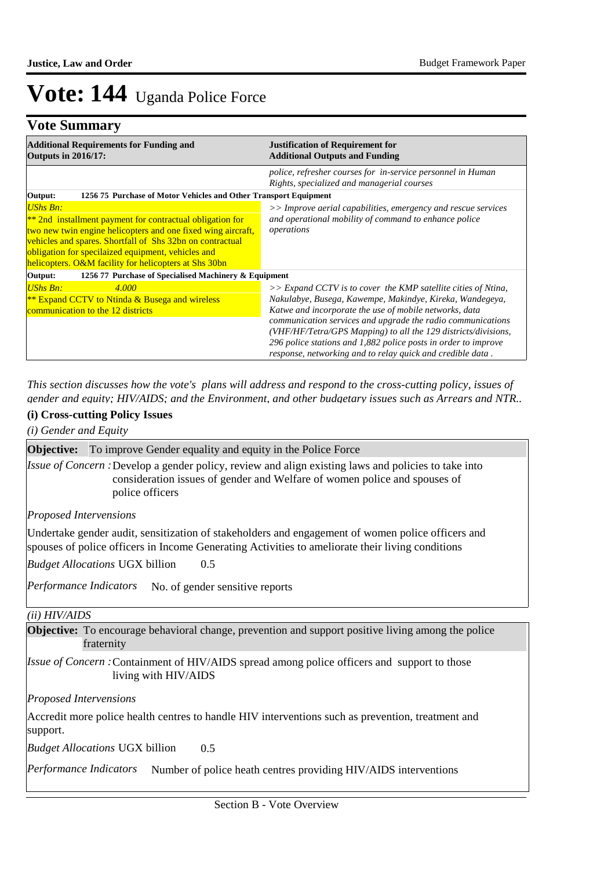### **Vote Summary**

| <b>Additional Requirements for Funding and</b><br><b>Outputs in 2016/17:</b>                                                                                                                                                                                                                                              | <b>Justification of Requirement for</b><br><b>Additional Outputs and Funding</b>                                                                                                                                                                                                                                                                                                                                                                        |  |  |
|---------------------------------------------------------------------------------------------------------------------------------------------------------------------------------------------------------------------------------------------------------------------------------------------------------------------------|---------------------------------------------------------------------------------------------------------------------------------------------------------------------------------------------------------------------------------------------------------------------------------------------------------------------------------------------------------------------------------------------------------------------------------------------------------|--|--|
|                                                                                                                                                                                                                                                                                                                           | police, refresher courses for in-service personnel in Human<br>Rights, specialized and managerial courses                                                                                                                                                                                                                                                                                                                                               |  |  |
| 1256 75 Purchase of Motor Vehicles and Other Transport Equipment<br>Output:                                                                                                                                                                                                                                               |                                                                                                                                                                                                                                                                                                                                                                                                                                                         |  |  |
| <b>UShs Bn:</b><br>$*$ 2nd installment payment for contractual obligation for<br>two new twin engine helicopters and one fixed wing aircraft,<br>vehicles and spares. Shortfall of Shs 32bn on contractual<br>obligation for specilaized equipment, vehicles and<br>helicopters. O&M facility for helicopters at Shs 30bn | >> Improve aerial capabilities, emergency and rescue services<br>and operational mobility of command to enhance police<br>operations                                                                                                                                                                                                                                                                                                                    |  |  |
| 1256 77 Purchase of Specialised Machinery & Equipment<br>Output:                                                                                                                                                                                                                                                          |                                                                                                                                                                                                                                                                                                                                                                                                                                                         |  |  |
| <b>UShs Bn:</b><br>4.000<br><b>** Expand CCTV to Ntinda &amp; Busega and wireless</b><br>communication to the 12 districts                                                                                                                                                                                                | $\gg$ Expand CCTV is to cover the KMP satellite cities of Ntina,<br>Nakulabye, Busega, Kawempe, Makindye, Kireka, Wandegeya,<br>Katwe and incorporate the use of mobile networks, data<br>communication services and upgrade the radio communications<br>(VHF/HF/Tetra/GPS Mapping) to all the 129 districts/divisions,<br>296 police stations and 1,882 police posts in order to improve<br>response, networking and to relay quick and credible data. |  |  |

*This section discusses how the vote's plans will address and respond to the cross-cutting policy, issues of gender and equity; HIV/AIDS; and the Environment, and other budgetary issues such as Arrears and NTR..* 

#### **(i) Cross-cutting Policy Issues**

*(i) Gender and Equity*

**Objective:** To improve Gender equality and equity in the Police Force

Issue of Concern : Develop a gender policy, review and align existing laws and policies to take into consideration issues of gender and Welfare of women police and spouses of police officers

*Proposed Intervensions* 

Undertake gender audit, sensitization of stakeholders and engagement of women police officers and spouses of police officers in Income Generating Activities to ameliorate their living conditions

0.5 *Budget Allocations*  UGX billion

Performance Indicators No. of gender sensitive reports

#### *(ii) HIV/AIDS*

**Objective:** To encourage behavioral change, prevention and support positive living among the police fraternity

*Issue of Concern :* Containment of HIV/AIDS spread among police officers and support to those living with HIV/AIDS

*Proposed Intervensions* 

Accredit more police health centres to handle HIV interventions such as prevention, treatment and support.

0.5 *Budget Allocations*  UGX billion

Performance Indicators Number of police heath centres providing HIV/AIDS interventions